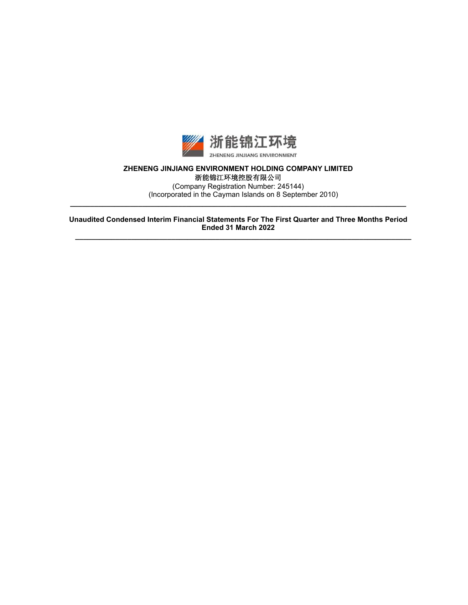

# **ZHENENG JINJIANG ENVIRONMENT HOLDING COMPANY LIMITED**  浙能锦江环境控股有限公司

(Company Registration Number: 245144) (Incorporated in the Cayman Islands on 8 September 2010) **\_\_\_\_\_\_\_\_\_\_\_\_\_\_\_\_\_\_\_\_\_\_\_\_\_\_\_\_\_\_\_\_\_\_\_\_\_\_\_\_\_\_\_\_\_\_\_\_\_\_\_\_\_\_\_\_\_\_\_\_\_\_\_\_\_\_\_\_\_\_\_\_\_\_\_\_\_\_\_\_\_\_\_\_** 

**Unaudited Condensed Interim Financial Statements For The First Quarter and Three Months Period Ended 31 March 2022** 

**\_\_\_\_\_\_\_\_\_\_\_\_\_\_\_\_\_\_\_\_\_\_\_\_\_\_\_\_\_\_\_\_\_\_\_\_\_\_\_\_\_\_\_\_\_\_\_\_\_\_\_\_\_\_\_\_\_\_\_\_\_\_\_\_\_\_\_\_\_\_\_\_\_\_\_\_\_\_\_\_\_\_\_\_**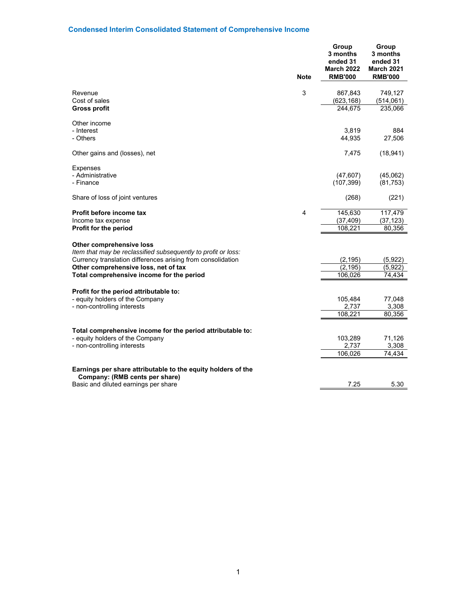# **Condensed Interim Consolidated Statement of Comprehensive Income**

|                                                                                                | <b>Note</b> | Group<br>3 months<br>ended 31<br><b>March 2022</b><br><b>RMB'000</b> | Group<br>3 months<br>ended 31<br><b>March 2021</b><br><b>RMB'000</b> |
|------------------------------------------------------------------------------------------------|-------------|----------------------------------------------------------------------|----------------------------------------------------------------------|
|                                                                                                |             |                                                                      |                                                                      |
| Revenue<br>Cost of sales                                                                       | 3           | 867,843<br>(623, 168)                                                | 749,127<br>(514,061)                                                 |
| <b>Gross profit</b>                                                                            |             | 244,675                                                              | 235,066                                                              |
| Other income                                                                                   |             |                                                                      |                                                                      |
| - Interest                                                                                     |             | 3,819                                                                | 884                                                                  |
| - Others                                                                                       |             | 44,935                                                               | 27,506                                                               |
| Other gains and (losses), net                                                                  |             | 7,475                                                                | (18, 941)                                                            |
| <b>Expenses</b>                                                                                |             |                                                                      |                                                                      |
| - Administrative                                                                               |             | (47, 607)                                                            | (45,062)                                                             |
| - Finance                                                                                      |             | (107, 399)                                                           | (81, 753)                                                            |
| Share of loss of joint ventures                                                                |             | (268)                                                                | (221)                                                                |
| Profit before income tax                                                                       | 4           | 145,630                                                              | 117,479                                                              |
| Income tax expense                                                                             |             | (37, 409)                                                            | (37, 123)                                                            |
| Profit for the period                                                                          |             | 108,221                                                              | 80,356                                                               |
| Other comprehensive loss                                                                       |             |                                                                      |                                                                      |
| Item that may be reclassified subsequently to profit or loss:                                  |             |                                                                      |                                                                      |
| Currency translation differences arising from consolidation                                    |             | (2, 195)                                                             | (5,922)                                                              |
| Other comprehensive loss, net of tax                                                           |             | (2, 195)                                                             | (5.922)                                                              |
| Total comprehensive income for the period                                                      |             | 106,026                                                              | 74.434                                                               |
| Profit for the period attributable to:                                                         |             |                                                                      |                                                                      |
| - equity holders of the Company                                                                |             | 105,484                                                              | 77,048                                                               |
| - non-controlling interests                                                                    |             | 2,737                                                                | 3,308                                                                |
|                                                                                                |             | 108,221                                                              | 80,356                                                               |
| Total comprehensive income for the period attributable to:                                     |             |                                                                      |                                                                      |
| - equity holders of the Company                                                                |             | 103,289                                                              | 71,126                                                               |
| - non-controlling interests                                                                    |             | 2,737                                                                | 3,308                                                                |
|                                                                                                |             | 106,026                                                              | 74,434                                                               |
| Earnings per share attributable to the equity holders of the<br>Company: (RMB cents per share) |             |                                                                      |                                                                      |
| Basic and diluted earnings per share                                                           |             | 7.25                                                                 | 5.30                                                                 |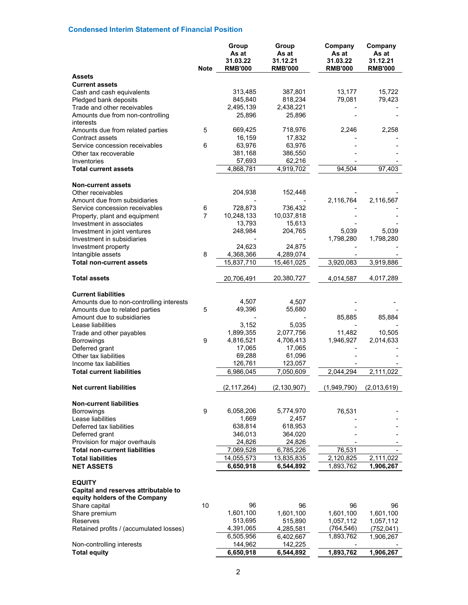# **Condensed Interim Statement of Financial Position**

|                                                                                        | Note           | Group<br>As at<br>31.03.22<br><b>RMB'000</b> | Group<br>As at<br>31.12.21<br><b>RMB'000</b> | Company<br>As at<br>31.03.22<br><b>RMB'000</b> | Company<br>As at<br>31.12.21<br><b>RMB'000</b> |
|----------------------------------------------------------------------------------------|----------------|----------------------------------------------|----------------------------------------------|------------------------------------------------|------------------------------------------------|
| <b>Assets</b>                                                                          |                |                                              |                                              |                                                |                                                |
| <b>Current assets</b>                                                                  |                |                                              |                                              |                                                |                                                |
| Cash and cash equivalents                                                              |                | 313,485                                      | 387,801                                      | 13,177                                         | 15,722                                         |
| Pledged bank deposits                                                                  |                | 845,840                                      | 818,234                                      | 79,081                                         | 79,423                                         |
| Trade and other receivables                                                            |                | 2,495,139                                    | 2,438,221                                    |                                                |                                                |
| Amounts due from non-controlling<br>interests                                          |                | 25,896                                       | 25,896                                       |                                                |                                                |
| Amounts due from related parties<br>Contract assets                                    | 5              | 669,425<br>16,159                            | 718,976<br>17,832                            | 2,246                                          | 2,258                                          |
| Service concession receivables                                                         | 6              | 63,976                                       | 63,976                                       |                                                |                                                |
| Other tax recoverable                                                                  |                | 381,168                                      | 386,550                                      |                                                |                                                |
| Inventories                                                                            |                | 57,693                                       | 62,216                                       |                                                |                                                |
| <b>Total current assets</b>                                                            |                | 4,868,781                                    | 4,919,702                                    | 94,504                                         | 97,403                                         |
| <b>Non-current assets</b>                                                              |                |                                              |                                              |                                                |                                                |
| Other receivables                                                                      |                | 204,938                                      | 152,448                                      |                                                |                                                |
| Amount due from subsidiaries                                                           |                |                                              |                                              | 2,116,764                                      | 2,116,567                                      |
| Service concession receivables                                                         | 6              | 728,873                                      | 736,432                                      |                                                |                                                |
| Property, plant and equipment                                                          | $\overline{7}$ | 10,248,133                                   | 10,037,818                                   |                                                |                                                |
| Investment in associates                                                               |                | 13,793                                       | 15,613                                       |                                                |                                                |
| Investment in joint ventures                                                           |                | 248,984                                      | 204,765                                      | 5,039<br>1,798,280                             | 5,039<br>1,798,280                             |
| Investment in subsidiaries<br>Investment property                                      |                | 24,623                                       | 24,875                                       |                                                |                                                |
| Intangible assets                                                                      | 8              | 4,368,366                                    | 4,289,074                                    |                                                |                                                |
| <b>Total non-current assets</b>                                                        |                | 15,837,710                                   | 15,461,025                                   | 3,920,083                                      | 3,919,886                                      |
| <b>Total assets</b>                                                                    |                | 20,706,491                                   | 20,380,727                                   | 4,014,587                                      | 4,017,289                                      |
| <b>Current liabilities</b>                                                             |                |                                              |                                              |                                                |                                                |
| Amounts due to non-controlling interests                                               |                | 4,507                                        | 4,507                                        |                                                |                                                |
| Amounts due to related parties                                                         | 5              | 49,396                                       | 55,680                                       |                                                |                                                |
| Amount due to subsidiaries                                                             |                |                                              |                                              | 85,885                                         | 85,884                                         |
| Lease liabilities                                                                      |                | 3,152                                        | 5,035                                        |                                                |                                                |
| Trade and other payables                                                               |                | 1,899,355                                    | 2,077,756                                    | 11,482                                         | 10,505                                         |
| <b>Borrowings</b>                                                                      | 9              | 4,816,521                                    | 4,706,413                                    | 1,946,927                                      | 2,014,633                                      |
| Deferred grant                                                                         |                | 17,065                                       | 17,065                                       |                                                |                                                |
| Other tax liabilities                                                                  |                | 69,288                                       | 61,096                                       |                                                |                                                |
| Income tax liabilities                                                                 |                | 126,761                                      | 123,057                                      |                                                |                                                |
| <b>Total current liabilities</b>                                                       |                | 6,986,045                                    | 7,050,609                                    | 2,044,294                                      | 2,111,022                                      |
| <b>Net current liabilities</b>                                                         |                | (2, 117, 264)                                | (2, 130, 907)                                | (1,949,790)                                    | (2,013,619)                                    |
| <b>Non-current liabilities</b>                                                         |                |                                              |                                              |                                                |                                                |
| <b>Borrowings</b>                                                                      | 9              | 6,058,206                                    | 5,774,970                                    | 76,531                                         |                                                |
| Lease liabilities                                                                      |                | 1,669                                        | 2,457                                        |                                                |                                                |
| Deferred tax liabilities                                                               |                | 638,814                                      | 618,953                                      |                                                |                                                |
| Deferred grant                                                                         |                | 346,013                                      | 364,020                                      |                                                |                                                |
| Provision for major overhauls                                                          |                | 24,826                                       | 24,826                                       |                                                |                                                |
| <b>Total non-current liabilities</b>                                                   |                | 7,069,528                                    | 6,785,226                                    | 76,531                                         |                                                |
| <b>Total liabilities</b><br><b>NET ASSETS</b>                                          |                | 14,055,573<br>6,650,918                      | 13,835,835<br>6,544,892                      | 2,120,825<br>1,893,762                         | 2,111,022<br>1,906,267                         |
|                                                                                        |                |                                              |                                              |                                                |                                                |
| <b>EQUITY</b><br>Capital and reserves attributable to<br>equity holders of the Company |                |                                              |                                              |                                                |                                                |
| Share capital                                                                          | 10             | 96                                           | 96                                           | 96                                             | 96                                             |
| Share premium                                                                          |                | 1,601,100                                    | 1,601,100                                    | 1,601,100                                      | 1,601,100                                      |
| Reserves                                                                               |                | 513,695                                      | 515,890                                      | 1,057,112                                      | 1,057,112                                      |
| Retained profits / (accumulated losses)                                                |                | 4,391,065                                    | 4,285,581                                    | (764, 546)                                     | (752, 041)                                     |
|                                                                                        |                | 6,505,956                                    | 6,402,667                                    | 1,893,762                                      | 1,906,267                                      |
| Non-controlling interests                                                              |                | 144,962                                      | 142,225                                      |                                                |                                                |
| <b>Total equity</b>                                                                    |                | 6,650,918                                    | 6,544,892                                    | 1,893,762                                      | 1,906,267                                      |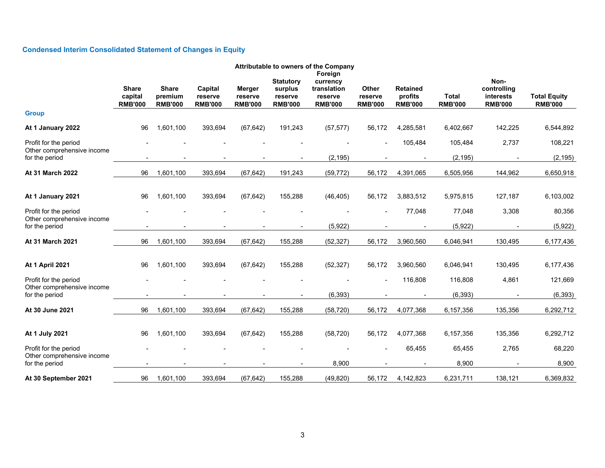# **Condensed Interim Consolidated Statement of Changes in Equity**

| Attributable to owners of the Company               |                                           |                                           |                                      |                                     |                                                          |                                                                 |                                    |                                              |                                |                                                    |                                       |
|-----------------------------------------------------|-------------------------------------------|-------------------------------------------|--------------------------------------|-------------------------------------|----------------------------------------------------------|-----------------------------------------------------------------|------------------------------------|----------------------------------------------|--------------------------------|----------------------------------------------------|---------------------------------------|
|                                                     | <b>Share</b><br>capital<br><b>RMB'000</b> | <b>Share</b><br>premium<br><b>RMB'000</b> | Capital<br>reserve<br><b>RMB'000</b> | Merger<br>reserve<br><b>RMB'000</b> | <b>Statutory</b><br>surplus<br>reserve<br><b>RMB'000</b> | Foreign<br>currency<br>translation<br>reserve<br><b>RMB'000</b> | Other<br>reserve<br><b>RMB'000</b> | <b>Retained</b><br>profits<br><b>RMB'000</b> | <b>Total</b><br><b>RMB'000</b> | Non-<br>controlling<br>interests<br><b>RMB'000</b> | <b>Total Equity</b><br><b>RMB'000</b> |
| <b>Group</b>                                        |                                           |                                           |                                      |                                     |                                                          |                                                                 |                                    |                                              |                                |                                                    |                                       |
| At 1 January 2022                                   | 96                                        | 1,601,100                                 | 393,694                              | (67, 642)                           | 191,243                                                  | (57, 577)                                                       | 56,172                             | 4,285,581                                    | 6,402,667                      | 142,225                                            | 6,544,892                             |
| Profit for the period<br>Other comprehensive income |                                           |                                           |                                      |                                     |                                                          |                                                                 |                                    | 105,484                                      | 105,484                        | 2,737                                              | 108,221                               |
| for the period                                      |                                           |                                           |                                      |                                     |                                                          | (2, 195)                                                        |                                    |                                              | (2, 195)                       |                                                    | (2, 195)                              |
| At 31 March 2022                                    | 96                                        | 1,601,100                                 | 393,694                              | (67, 642)                           | 191,243                                                  | (59, 772)                                                       | 56,172                             | 4,391,065                                    | 6,505,956                      | 144,962                                            | 6,650,918                             |
| At 1 January 2021                                   | 96                                        | 1,601,100                                 | 393,694                              | (67, 642)                           | 155,288                                                  | (46, 405)                                                       | 56,172                             | 3,883,512                                    | 5,975,815                      | 127,187                                            | 6,103,002                             |
| Profit for the period<br>Other comprehensive income |                                           |                                           |                                      |                                     |                                                          | (5,922)                                                         |                                    | 77,048                                       | 77,048<br>(5,922)              | 3,308                                              | 80,356                                |
| for the period                                      |                                           |                                           |                                      |                                     |                                                          |                                                                 |                                    |                                              |                                |                                                    | (5,922)                               |
| At 31 March 2021                                    | 96                                        | 1,601,100                                 | 393,694                              | (67, 642)                           | 155,288                                                  | (52, 327)                                                       | 56,172                             | 3,960,560                                    | 6,046,941                      | 130,495                                            | 6,177,436                             |
| <b>At 1 April 2021</b>                              | 96                                        | 1,601,100                                 | 393,694                              | (67, 642)                           | 155,288                                                  | (52, 327)                                                       | 56,172                             | 3,960,560                                    | 6,046,941                      | 130,495                                            | 6,177,436                             |
| Profit for the period                               |                                           |                                           |                                      |                                     |                                                          |                                                                 |                                    | 116,808                                      | 116,808                        | 4,861                                              | 121,669                               |
| Other comprehensive income<br>for the period        |                                           |                                           |                                      |                                     |                                                          | (6, 393)                                                        |                                    |                                              | (6, 393)                       |                                                    | (6, 393)                              |
| At 30 June 2021                                     | 96                                        | 1,601,100                                 | 393,694                              | (67, 642)                           | 155,288                                                  | (58, 720)                                                       | 56,172                             | 4,077,368                                    | 6,157,356                      | 135,356                                            | 6,292,712                             |
| At 1 July 2021                                      | 96                                        | 1,601,100                                 | 393,694                              | (67, 642)                           | 155,288                                                  | (58, 720)                                                       | 56,172                             | 4,077,368                                    | 6,157,356                      | 135,356                                            | 6,292,712                             |
| Profit for the period<br>Other comprehensive income |                                           |                                           |                                      |                                     |                                                          |                                                                 |                                    | 65,455                                       | 65,455                         | 2,765                                              | 68,220                                |
| for the period                                      |                                           |                                           |                                      |                                     |                                                          | 8,900                                                           |                                    |                                              | 8,900                          |                                                    | 8,900                                 |
| At 30 September 2021                                | 96                                        | 1,601,100                                 | 393,694                              | (67, 642)                           | 155,288                                                  | (49, 820)                                                       | 56,172                             | 4,142,823                                    | 6,231,711                      | 138,121                                            | 6,369,832                             |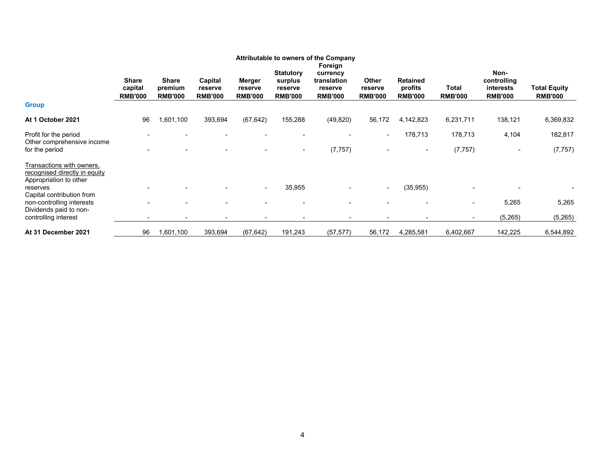|                                                                                                          |                                    |                                           |                                      |                                     |                                                          | <b>Attributable to owners of the Company</b>                    |                                    |                                              |                          |                                                    |                                       |
|----------------------------------------------------------------------------------------------------------|------------------------------------|-------------------------------------------|--------------------------------------|-------------------------------------|----------------------------------------------------------|-----------------------------------------------------------------|------------------------------------|----------------------------------------------|--------------------------|----------------------------------------------------|---------------------------------------|
|                                                                                                          | Share<br>capital<br><b>RMB'000</b> | <b>Share</b><br>premium<br><b>RMB'000</b> | Capital<br>reserve<br><b>RMB'000</b> | Merger<br>reserve<br><b>RMB'000</b> | <b>Statutory</b><br>surplus<br>reserve<br><b>RMB'000</b> | Foreign<br>currency<br>translation<br>reserve<br><b>RMB'000</b> | Other<br>reserve<br><b>RMB'000</b> | <b>Retained</b><br>profits<br><b>RMB'000</b> | Total<br><b>RMB'000</b>  | Non-<br>controlling<br>interests<br><b>RMB'000</b> | <b>Total Equity</b><br><b>RMB'000</b> |
| <b>Group</b>                                                                                             |                                    |                                           |                                      |                                     |                                                          |                                                                 |                                    |                                              |                          |                                                    |                                       |
| At 1 October 2021                                                                                        | 96                                 | 1,601,100                                 | 393,694                              | (67, 642)                           | 155,288                                                  | (49, 820)                                                       | 56,172                             | 4,142,823                                    | 6,231,711                | 138,121                                            | 6,369,832                             |
| Profit for the period<br>Other comprehensive income<br>for the period                                    |                                    |                                           |                                      |                                     | ۰.                                                       | (7, 757)                                                        | $\overline{\phantom{a}}$           | 178,713<br>$\overline{\phantom{a}}$          | 178,713<br>(7, 757)      | 4,104                                              | 182,817<br>(7, 757)                   |
| Transactions with owners,<br>recognised directly in equity<br>Appropriation to other<br>reserves         |                                    |                                           |                                      | $\sim$                              | 35,955                                                   |                                                                 | $\sim$                             | (35, 955)                                    |                          |                                                    |                                       |
| Capital contribution from<br>non-controlling interests<br>Dividends paid to non-<br>controlling interest |                                    |                                           | $\overline{\phantom{a}}$             |                                     |                                                          |                                                                 |                                    |                                              | $\overline{\phantom{0}}$ | 5,265<br>(5,265)                                   | 5,265<br>(5, 265)                     |
| At 31 December 2021                                                                                      | 96                                 | 1,601,100                                 | 393,694                              | (67, 642)                           | 191,243                                                  | (57, 577)                                                       | 56,172                             | 4,285,581                                    | 6,402,667                | 142,225                                            | 6,544,892                             |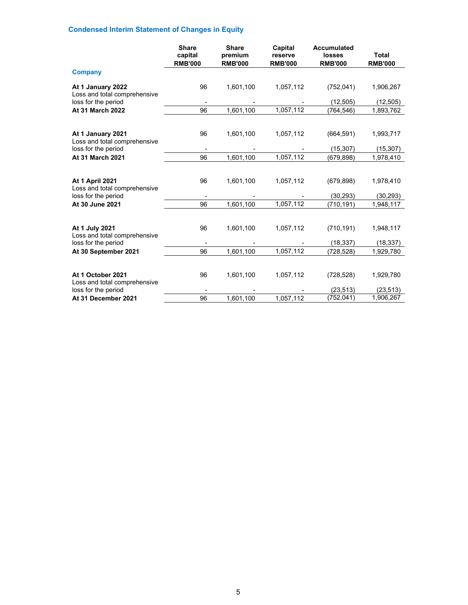# **Condensed Interim Statement of Changes in Equity**

|                                                                               | <b>Share</b><br>capital<br><b>RMB'000</b> | <b>Share</b><br>premium<br><b>RMB'000</b> | Capital<br>reserve<br><b>RMB'000</b> | <b>Accumulated</b><br>losses<br><b>RMB'000</b> | <b>Total</b><br><b>RMB'000</b> |
|-------------------------------------------------------------------------------|-------------------------------------------|-------------------------------------------|--------------------------------------|------------------------------------------------|--------------------------------|
| <b>Company</b>                                                                |                                           |                                           |                                      |                                                |                                |
| At 1 January 2022<br>Loss and total comprehensive                             | 96                                        | 1,601,100                                 | 1,057,112                            | (752, 041)                                     | 1,906,267                      |
| loss for the period                                                           |                                           |                                           |                                      | (12, 505)                                      | (12,505)                       |
| At 31 March 2022                                                              | 96                                        | 1,601,100                                 | 1,057,112                            | (764, 546)                                     | 1,893,762                      |
| At 1 January 2021                                                             | 96                                        | 1,601,100                                 | 1,057,112                            | (664, 591)                                     | 1,993,717                      |
| Loss and total comprehensive<br>loss for the period                           |                                           |                                           |                                      | (15, 307)                                      | (15, 307)                      |
| At 31 March 2021                                                              | 96                                        | 1,601,100                                 | 1,057,112                            | (679,898)                                      | 1,978,410                      |
| <b>At 1 April 2021</b><br>Loss and total comprehensive<br>loss for the period | 96                                        | 1,601,100                                 | 1,057,112                            | (679, 898)<br>(30, 293)                        | 1,978,410<br>(30, 293)         |
| At 30 June 2021                                                               | 96                                        | 1,601,100                                 | 1,057,112                            | (710, 191)                                     | 1,948,117                      |
| At 1 July 2021<br>Loss and total comprehensive<br>loss for the period         | 96                                        | 1,601,100                                 | 1,057,112                            | (710, 191)<br>(18, 337)                        | 1,948,117<br>(18, 337)         |
| At 30 September 2021                                                          | 96                                        | 1,601,100                                 | 1,057,112                            | (728, 528)                                     | 1,929,780                      |
| At 1 October 2021<br>Loss and total comprehensive<br>loss for the period      | 96                                        | 1,601,100                                 | 1,057,112                            | (728, 528)<br>(23, 513)                        | 1,929,780<br>(23, 513)         |
| At 31 December 2021                                                           | 96                                        | 1,601,100                                 | 1,057,112                            | (752, 041)                                     | 1,906,267                      |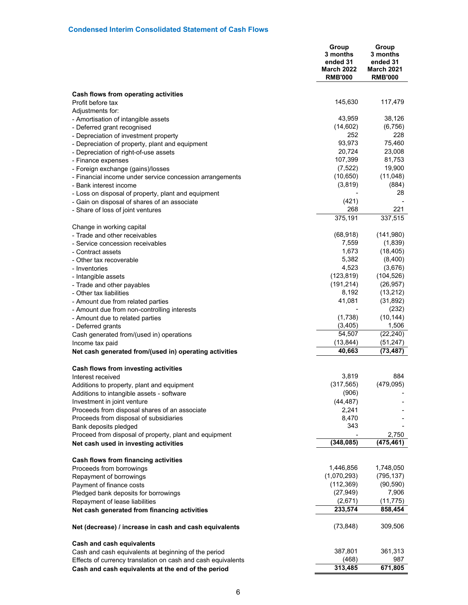|                                                                                | Group<br>3 months<br>ended 31<br><b>March 2022</b><br><b>RMB'000</b> | Group<br>3 months<br>ended 31<br><b>March 2021</b><br><b>RMB'000</b> |
|--------------------------------------------------------------------------------|----------------------------------------------------------------------|----------------------------------------------------------------------|
| Cash flows from operating activities                                           |                                                                      |                                                                      |
| Profit before tax                                                              | 145,630                                                              | 117,479                                                              |
| Adjustments for:                                                               | 43,959                                                               |                                                                      |
| - Amortisation of intangible assets                                            | (14, 602)                                                            | 38,126<br>(6,756)                                                    |
| - Deferred grant recognised<br>- Depreciation of investment property           | 252                                                                  | 228                                                                  |
| - Depreciation of property, plant and equipment                                | 93,973                                                               | 75,460                                                               |
| - Depreciation of right-of-use assets                                          | 20,724                                                               | 23,008                                                               |
| - Finance expenses                                                             | 107,399                                                              | 81,753                                                               |
| - Foreign exchange (gains)/losses                                              | (7, 522)                                                             | 19,900                                                               |
| - Financial income under service concession arrangements                       | (10, 650)                                                            | (11,048)                                                             |
| - Bank interest income                                                         | (3,819)                                                              | (884)                                                                |
| - Loss on disposal of property, plant and equipment                            |                                                                      | 28                                                                   |
| - Gain on disposal of shares of an associate                                   | (421)                                                                |                                                                      |
| - Share of loss of joint ventures                                              | 268                                                                  | 221                                                                  |
|                                                                                | 375,191                                                              | 337,515                                                              |
| Change in working capital                                                      |                                                                      |                                                                      |
| - Trade and other receivables                                                  | (68, 918)                                                            | (141,980)                                                            |
| - Service concession receivables                                               | 7,559                                                                | (1,839)                                                              |
| - Contract assets                                                              | 1,673                                                                | (18, 405)                                                            |
| - Other tax recoverable                                                        | 5,382                                                                | (8,400)                                                              |
| - Inventories                                                                  | 4,523                                                                | (3,676)                                                              |
| - Intangible assets                                                            | (123, 819)                                                           | (104, 526)                                                           |
| - Trade and other payables                                                     | (191, 214)<br>8,192                                                  | (26, 957)<br>(13,212)                                                |
| - Other tax liabilities                                                        | 41,081                                                               | (31, 892)                                                            |
| - Amount due from related parties                                              |                                                                      | (232)                                                                |
| - Amount due from non-controlling interests<br>- Amount due to related parties | (1,738)                                                              | (10, 144)                                                            |
| - Deferred grants                                                              | (3,405)                                                              | 1,506                                                                |
| Cash generated from/(used in) operations                                       | 54,507                                                               | (22, 240)                                                            |
| Income tax paid                                                                | (13, 844)                                                            | (51, 247)                                                            |
| Net cash generated from/(used in) operating activities                         | 40,663                                                               | (73, 487)                                                            |
|                                                                                |                                                                      |                                                                      |
| Cash flows from investing activities                                           |                                                                      |                                                                      |
| Interest received                                                              | 3,819                                                                | 884                                                                  |
| Additions to property, plant and equipment                                     | (317, 565)                                                           | (479, 095)                                                           |
| Additions to intangible assets - software                                      | (906)                                                                |                                                                      |
| Investment in joint venture                                                    | (44, 487)                                                            |                                                                      |
| Proceeds from disposal shares of an associate                                  | 2,241                                                                |                                                                      |
| Proceeds from disposal of subsidiaries                                         | 8,470<br>343                                                         |                                                                      |
| Bank deposits pledged                                                          |                                                                      |                                                                      |
| Proceed from disposal of property, plant and equipment                         | (348, 085)                                                           | 2,750<br>(475,461)                                                   |
| Net cash used in investing activities                                          |                                                                      |                                                                      |
| Cash flows from financing activities                                           |                                                                      |                                                                      |
| Proceeds from borrowings                                                       | 1,446,856                                                            | 1,748,050                                                            |
| Repayment of borrowings                                                        | (1,070,293)                                                          | (795, 137)                                                           |
| Payment of finance costs                                                       | (112, 369)                                                           | (90, 590)                                                            |
| Pledged bank deposits for borrowings                                           | (27, 949)                                                            | 7,906                                                                |
| Repayment of lease liabilities                                                 | (2,671)                                                              | (11, 775)                                                            |
| Net cash generated from financing activities                                   | 233,574                                                              | 858,454                                                              |
| Net (decrease) / increase in cash and cash equivalents                         | (73, 848)                                                            | 309,506                                                              |
|                                                                                |                                                                      |                                                                      |
| <b>Cash and cash equivalents</b>                                               |                                                                      |                                                                      |
| Cash and cash equivalents at beginning of the period                           | 387,801                                                              | 361,313                                                              |
| Effects of currency translation on cash and cash equivalents                   | (468)<br>313,485                                                     | 987                                                                  |
| Cash and cash equivalents at the end of the period                             |                                                                      | 671,805                                                              |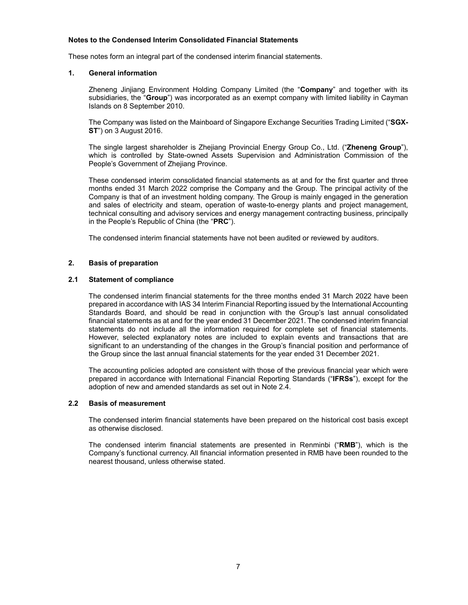# **Notes to the Condensed Interim Consolidated Financial Statements**

These notes form an integral part of the condensed interim financial statements.

## **1. General information**

Zheneng Jinjiang Environment Holding Company Limited (the "**Company**" and together with its subsidiaries, the "**Group**") was incorporated as an exempt company with limited liability in Cayman Islands on 8 September 2010.

The Company was listed on the Mainboard of Singapore Exchange Securities Trading Limited ("**SGX-ST**") on 3 August 2016.

The single largest shareholder is Zhejiang Provincial Energy Group Co., Ltd. ("**Zheneng Group**"), which is controlled by State-owned Assets Supervision and Administration Commission of the People's Government of Zhejiang Province.

These condensed interim consolidated financial statements as at and for the first quarter and three months ended 31 March 2022 comprise the Company and the Group. The principal activity of the Company is that of an investment holding company. The Group is mainly engaged in the generation and sales of electricity and steam, operation of waste-to-energy plants and project management, technical consulting and advisory services and energy management contracting business, principally in the People's Republic of China (the "**PRC**").

The condensed interim financial statements have not been audited or reviewed by auditors.

## **2. Basis of preparation**

## **2.1 Statement of compliance**

The condensed interim financial statements for the three months ended 31 March 2022 have been prepared in accordance with IAS 34 Interim Financial Reporting issued by the International Accounting Standards Board, and should be read in conjunction with the Group's last annual consolidated financial statements as at and for the year ended 31 December 2021. The condensed interim financial statements do not include all the information required for complete set of financial statements. However, selected explanatory notes are included to explain events and transactions that are significant to an understanding of the changes in the Group's financial position and performance of the Group since the last annual financial statements for the year ended 31 December 2021.

The accounting policies adopted are consistent with those of the previous financial year which were prepared in accordance with International Financial Reporting Standards ("**IFRSs**"), except for the adoption of new and amended standards as set out in Note 2.4.

### **2.2 Basis of measurement**

The condensed interim financial statements have been prepared on the historical cost basis except as otherwise disclosed.

The condensed interim financial statements are presented in Renminbi ("**RMB**"), which is the Company's functional currency. All financial information presented in RMB have been rounded to the nearest thousand, unless otherwise stated.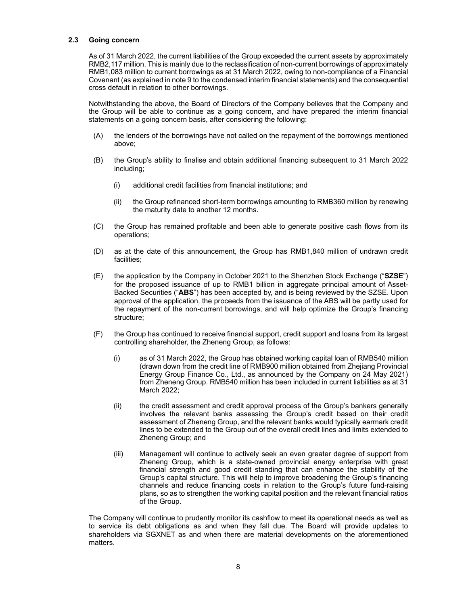# **2.3 Going concern**

As of 31 March 2022, the current liabilities of the Group exceeded the current assets by approximately RMB2,117 million. This is mainly due to the reclassification of non-current borrowings of approximately RMB1,083 million to current borrowings as at 31 March 2022, owing to non-compliance of a Financial Covenant (as explained in note 9 to the condensed interim financial statements) and the consequential cross default in relation to other borrowings.

Notwithstanding the above, the Board of Directors of the Company believes that the Company and the Group will be able to continue as a going concern, and have prepared the interim financial statements on a going concern basis, after considering the following:

- (A) the lenders of the borrowings have not called on the repayment of the borrowings mentioned above;
- (B) the Group's ability to finalise and obtain additional financing subsequent to 31 March 2022 including;
	- (i) additional credit facilities from financial institutions; and
	- (ii) the Group refinanced short-term borrowings amounting to RMB360 million by renewing the maturity date to another 12 months.
- (C) the Group has remained profitable and been able to generate positive cash flows from its operations;
- (D) as at the date of this announcement, the Group has RMB1,840 million of undrawn credit facilities;
- (E) the application by the Company in October 2021 to the Shenzhen Stock Exchange ("**SZSE**") for the proposed issuance of up to RMB1 billion in aggregate principal amount of Asset-Backed Securities ("**ABS**") has been accepted by, and is being reviewed by the SZSE. Upon approval of the application, the proceeds from the issuance of the ABS will be partly used for the repayment of the non-current borrowings, and will help optimize the Group's financing structure;
- (F) the Group has continued to receive financial support, credit support and loans from its largest controlling shareholder, the Zheneng Group, as follows:
	- (i) as of 31 March 2022, the Group has obtained working capital loan of RMB540 million (drawn down from the credit line of RMB900 million obtained from Zhejiang Provincial Energy Group Finance Co., Ltd., as announced by the Company on 24 May 2021) from Zheneng Group. RMB540 million has been included in current liabilities as at 31 March 2022;
	- (ii) the credit assessment and credit approval process of the Group's bankers generally involves the relevant banks assessing the Group's credit based on their credit assessment of Zheneng Group, and the relevant banks would typically earmark credit lines to be extended to the Group out of the overall credit lines and limits extended to Zheneng Group; and
	- (iii) Management will continue to actively seek an even greater degree of support from Zheneng Group, which is a state-owned provincial energy enterprise with great financial strength and good credit standing that can enhance the stability of the Group's capital structure. This will help to improve broadening the Group's financing channels and reduce financing costs in relation to the Group's future fund-raising plans, so as to strengthen the working capital position and the relevant financial ratios of the Group.

The Company will continue to prudently monitor its cashflow to meet its operational needs as well as to service its debt obligations as and when they fall due. The Board will provide updates to shareholders via SGXNET as and when there are material developments on the aforementioned matters.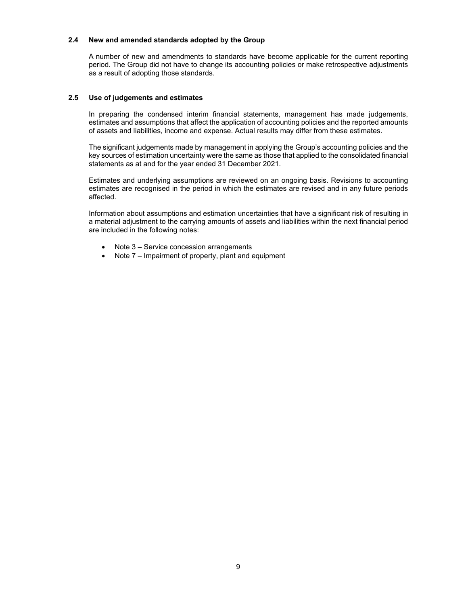# **2.4 New and amended standards adopted by the Group**

A number of new and amendments to standards have become applicable for the current reporting period. The Group did not have to change its accounting policies or make retrospective adjustments as a result of adopting those standards.

# **2.5 Use of judgements and estimates**

In preparing the condensed interim financial statements, management has made judgements, estimates and assumptions that affect the application of accounting policies and the reported amounts of assets and liabilities, income and expense. Actual results may differ from these estimates.

The significant judgements made by management in applying the Group's accounting policies and the key sources of estimation uncertainty were the same as those that applied to the consolidated financial statements as at and for the year ended 31 December 2021.

Estimates and underlying assumptions are reviewed on an ongoing basis. Revisions to accounting estimates are recognised in the period in which the estimates are revised and in any future periods affected.

Information about assumptions and estimation uncertainties that have a significant risk of resulting in a material adjustment to the carrying amounts of assets and liabilities within the next financial period are included in the following notes:

- Note 3 Service concession arrangements
- Note 7 Impairment of property, plant and equipment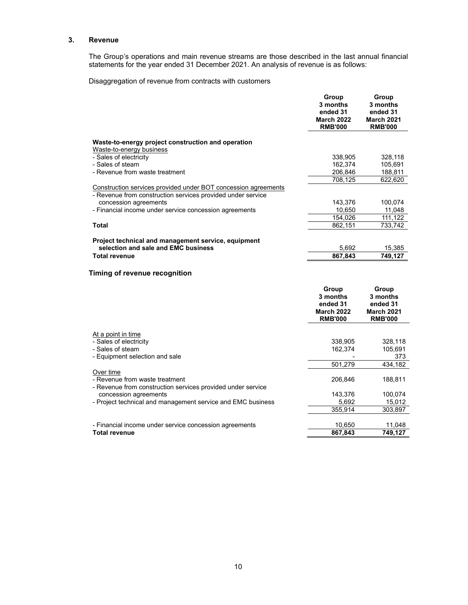# **3. Revenue**

The Group's operations and main revenue streams are those described in the last annual financial statements for the year ended 31 December 2021. An analysis of revenue is as follows:

Disaggregation of revenue from contracts with customers

|                                                                                                                               | Group<br>3 months<br>ended 31<br><b>March 2022</b><br><b>RMB'000</b> | Group<br>3 months<br>ended 31<br><b>March 2021</b><br><b>RMB'000</b> |
|-------------------------------------------------------------------------------------------------------------------------------|----------------------------------------------------------------------|----------------------------------------------------------------------|
| Waste-to-energy project construction and operation                                                                            |                                                                      |                                                                      |
| Waste-to-energy business                                                                                                      |                                                                      |                                                                      |
| - Sales of electricity                                                                                                        | 338,905                                                              | 328,118                                                              |
| - Sales of steam                                                                                                              | 162,374                                                              | 105,691                                                              |
| - Revenue from waste treatment                                                                                                | 206,846                                                              | 188,811                                                              |
|                                                                                                                               | 708,125                                                              | 622,620                                                              |
| Construction services provided under BOT concession agreements<br>- Revenue from construction services provided under service |                                                                      |                                                                      |
| concession agreements                                                                                                         | 143,376                                                              | 100,074                                                              |
| - Financial income under service concession agreements                                                                        | 10,650                                                               | 11,048                                                               |
|                                                                                                                               | 154,026                                                              | 111,122                                                              |
| <b>Total</b>                                                                                                                  | 862,151                                                              | 733,742                                                              |
| Project technical and management service, equipment                                                                           |                                                                      |                                                                      |
| selection and sale and EMC business                                                                                           | 5,692                                                                | 15,385                                                               |
| <b>Total revenue</b>                                                                                                          | 867,843                                                              | 749,127                                                              |
| Timing of revenue recognition                                                                                                 |                                                                      |                                                                      |

|                                                             | Group<br>3 months<br>ended 31<br><b>March 2022</b><br><b>RMB'000</b> | Group<br>3 months<br>ended 31<br><b>March 2021</b><br><b>RMB'000</b> |
|-------------------------------------------------------------|----------------------------------------------------------------------|----------------------------------------------------------------------|
| At a point in time                                          |                                                                      |                                                                      |
| - Sales of electricity                                      | 338,905                                                              | 328,118                                                              |
| - Sales of steam                                            | 162,374                                                              | 105,691                                                              |
| - Equipment selection and sale                              |                                                                      | 373                                                                  |
|                                                             | 501.279                                                              | 434,182                                                              |
| Over time                                                   |                                                                      |                                                                      |
| - Revenue from waste treatment                              | 206,846                                                              | 188,811                                                              |
| - Revenue from construction services provided under service |                                                                      |                                                                      |
| concession agreements                                       | 143,376                                                              | 100,074                                                              |
| - Project technical and management service and EMC business | 5,692                                                                | 15,012                                                               |
|                                                             | 355,914                                                              | 303,897                                                              |
|                                                             |                                                                      |                                                                      |
| - Financial income under service concession agreements      | 10,650                                                               | 11,048                                                               |
| <b>Total revenue</b>                                        | 867,843                                                              | 749,127                                                              |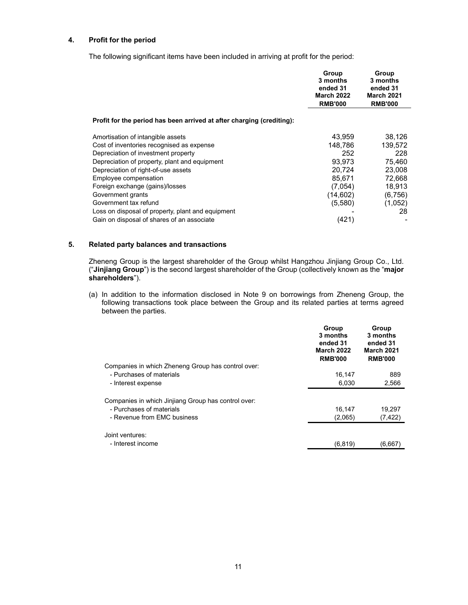# **4. Profit for the period**

The following significant items have been included in arriving at profit for the period:

|                                                                       | Group<br>3 months<br>ended 31<br><b>March 2022</b><br><b>RMB'000</b> | Group<br>3 months<br>ended 31<br><b>March 2021</b><br><b>RMB'000</b> |
|-----------------------------------------------------------------------|----------------------------------------------------------------------|----------------------------------------------------------------------|
| Profit for the period has been arrived at after charging (crediting): |                                                                      |                                                                      |
| Amortisation of intangible assets                                     | 43.959                                                               | 38,126                                                               |
| Cost of inventories recognised as expense                             | 148,786                                                              | 139,572                                                              |
| Depreciation of investment property                                   | 252                                                                  | 228                                                                  |
| Depreciation of property, plant and equipment                         | 93.973                                                               | 75,460                                                               |
| Depreciation of right-of-use assets                                   | 20,724                                                               | 23,008                                                               |
| Employee compensation                                                 | 85.671                                                               | 72,668                                                               |
| Foreign exchange (gains)/losses                                       | (7.054)                                                              | 18,913                                                               |
| Government grants                                                     | (14,602)                                                             | (6,756)                                                              |
| Government tax refund                                                 | (5,580)                                                              | (1,052)                                                              |
| Loss on disposal of property, plant and equipment                     |                                                                      | 28                                                                   |
| Gain on disposal of shares of an associate                            | (421)                                                                |                                                                      |

# **5. Related party balances and transactions**

Zheneng Group is the largest shareholder of the Group whilst Hangzhou Jinjiang Group Co., Ltd. ("**Jinjiang Group**") is the second largest shareholder of the Group (collectively known as the "**major shareholders**").

(a) In addition to the information disclosed in Note 9 on borrowings from Zheneng Group, the following transactions took place between the Group and its related parties at terms agreed between the parties.

|                                                     | Group<br>3 months<br>ended 31<br><b>March 2022</b><br><b>RMB'000</b> | Group<br>3 months<br>ended 31<br><b>March 2021</b><br><b>RMB'000</b> |
|-----------------------------------------------------|----------------------------------------------------------------------|----------------------------------------------------------------------|
| Companies in which Zheneng Group has control over:  |                                                                      |                                                                      |
| - Purchases of materials                            | 16,147                                                               | 889                                                                  |
| - Interest expense                                  | 6,030                                                                | 2,566                                                                |
| Companies in which Jinjiang Group has control over: |                                                                      |                                                                      |
| - Purchases of materials                            | 16,147                                                               | 19,297                                                               |
| - Revenue from EMC business                         | (2,065)                                                              | (7, 422)                                                             |
| Joint ventures:                                     |                                                                      |                                                                      |
| - Interest income                                   | (6, 819)                                                             | (6,667)                                                              |
|                                                     |                                                                      |                                                                      |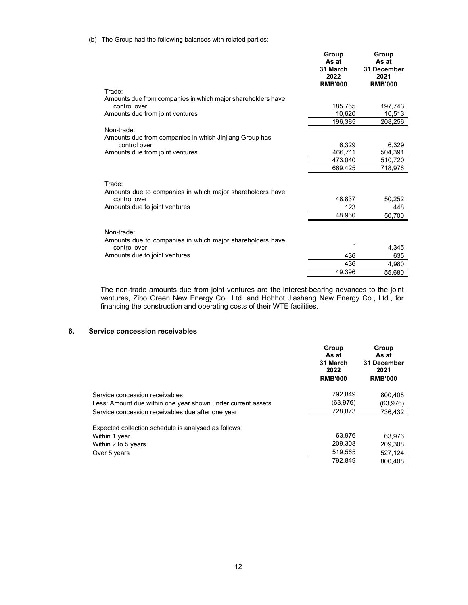# (b) The Group had the following balances with related parties:

|                                                                             | Group<br>As at<br>31 March<br>2022<br><b>RMB'000</b> | Group<br>As at<br>31 December<br>2021<br><b>RMB'000</b> |
|-----------------------------------------------------------------------------|------------------------------------------------------|---------------------------------------------------------|
| Trade:                                                                      |                                                      |                                                         |
| Amounts due from companies in which major shareholders have<br>control over | 185.765                                              | 197,743                                                 |
| Amounts due from joint ventures                                             | 10,620                                               | 10,513                                                  |
|                                                                             | 196,385                                              | 208,256                                                 |
| Non-trade:<br>Amounts due from companies in which Jinjiang Group has        |                                                      |                                                         |
| control over                                                                | 6,329                                                | 6,329                                                   |
| Amounts due from joint ventures                                             | 466,711                                              | 504,391                                                 |
|                                                                             | 473,040                                              | 510,720                                                 |
|                                                                             | 669,425                                              | 718,976                                                 |
| Trade:                                                                      |                                                      |                                                         |
| Amounts due to companies in which major shareholders have                   |                                                      |                                                         |
| control over                                                                | 48,837                                               | 50,252                                                  |
| Amounts due to joint ventures                                               | 123                                                  | 448                                                     |
|                                                                             | 48,960                                               | 50,700                                                  |
| Non-trade:                                                                  |                                                      |                                                         |
| Amounts due to companies in which major shareholders have<br>control over   |                                                      | 4,345                                                   |
| Amounts due to joint ventures                                               | 436                                                  | 635                                                     |
|                                                                             | 436                                                  | 4,980                                                   |
|                                                                             | 49,396                                               | 55,680                                                  |
|                                                                             |                                                      |                                                         |

The non-trade amounts due from joint ventures are the interest-bearing advances to the joint ventures, Zibo Green New Energy Co., Ltd. and Hohhot Jiasheng New Energy Co., Ltd., for financing the construction and operating costs of their WTE facilities.

### **6. Service concession receivables**

|                                                             | Group<br>As at<br>31 March<br>2022<br><b>RMB'000</b> | Group<br>As at<br>31 December<br>2021<br><b>RMB'000</b> |
|-------------------------------------------------------------|------------------------------------------------------|---------------------------------------------------------|
| Service concession receivables                              | 792.849                                              | 800.408                                                 |
| Less: Amount due within one year shown under current assets | (63,976)                                             | (63.976)                                                |
| Service concession receivables due after one year           | 728.873                                              | 736,432                                                 |
| Expected collection schedule is analysed as follows         |                                                      |                                                         |
| Within 1 year                                               | 63,976                                               | 63.976                                                  |
| Within 2 to 5 years                                         | 209,308                                              | 209.308                                                 |
| Over 5 years                                                | 519,565                                              | 527,124                                                 |
|                                                             | 792.849                                              | 800.408                                                 |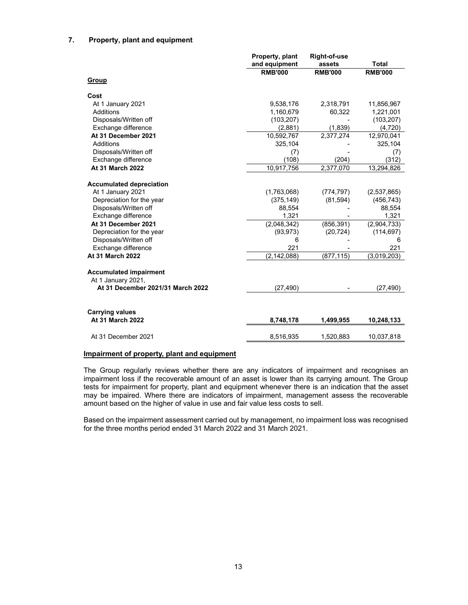# **7. Property, plant and equipment**

|                                   | Property, plant | <b>Right-of-use</b> |                |
|-----------------------------------|-----------------|---------------------|----------------|
|                                   | and equipment   | assets              | <b>Total</b>   |
|                                   | <b>RMB'000</b>  | <b>RMB'000</b>      | <b>RMB'000</b> |
| <b>Group</b>                      |                 |                     |                |
| Cost                              |                 |                     |                |
| At 1 January 2021                 | 9,538,176       | 2,318,791           | 11,856,967     |
| Additions                         | 1,160,679       | 60,322              | 1,221,001      |
| Disposals/Written off             | (103, 207)      |                     | (103, 207)     |
| Exchange difference               | (2,881)         | (1,839)             | (4,720)        |
| At 31 December 2021               | 10,592,767      | 2,377,274           | 12,970,041     |
| Additions                         | 325,104         |                     | 325,104        |
| Disposals/Written off             | (7)             |                     | (7)            |
| Exchange difference               | (108)           | (204)               | (312)          |
| At 31 March 2022                  | 10,917,756      | 2,377,070           | 13,294,826     |
| <b>Accumulated depreciation</b>   |                 |                     |                |
| At 1 January 2021                 | (1,763,068)     | (774, 797)          | (2,537,865)    |
| Depreciation for the year         | (375, 149)      | (81, 594)           | (456, 743)     |
| Disposals/Written off             | 88,554          |                     | 88,554         |
| Exchange difference               | 1,321           |                     | 1,321          |
| At 31 December 2021               | (2,048,342)     | (856, 391)          | (2,904,733)    |
| Depreciation for the year         | (93, 973)       | (20, 724)           | (114, 697)     |
| Disposals/Written off             | 6               |                     | 6              |
| Exchange difference               | 221             |                     | 221            |
| At 31 March 2022                  | (2, 142, 088)   | (877, 115)          | (3,019,203)    |
|                                   |                 |                     |                |
| <b>Accumulated impairment</b>     |                 |                     |                |
| At 1 January 2021,                |                 |                     |                |
| At 31 December 2021/31 March 2022 | (27, 490)       |                     | (27, 490)      |
|                                   |                 |                     |                |
| <b>Carrying values</b>            |                 |                     |                |
| At 31 March 2022                  | 8,748,178       | 1,499,955           | 10,248,133     |
| At 31 December 2021               | 8,516,935       | 1,520,883           | 10,037,818     |
|                                   |                 |                     |                |

# **Impairment of property, plant and equipment**

The Group regularly reviews whether there are any indicators of impairment and recognises an impairment loss if the recoverable amount of an asset is lower than its carrying amount. The Group tests for impairment for property, plant and equipment whenever there is an indication that the asset may be impaired. Where there are indicators of impairment, management assess the recoverable amount based on the higher of value in use and fair value less costs to sell.

Based on the impairment assessment carried out by management, no impairment loss was recognised for the three months period ended 31 March 2022 and 31 March 2021.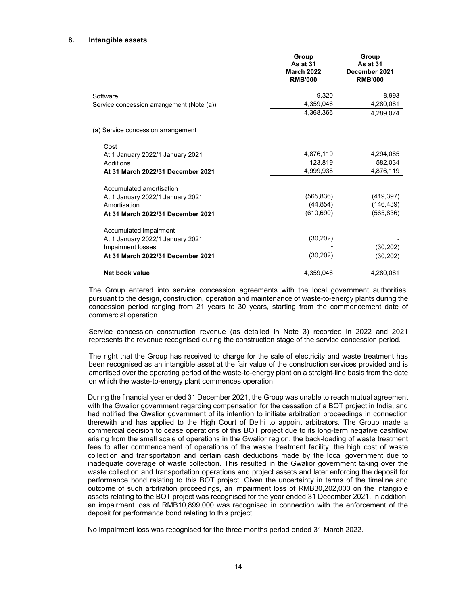### **8. Intangible assets**

|                                           | Group<br><b>As at 31</b><br><b>March 2022</b><br><b>RMB'000</b> | Group<br>As at 31<br>December 2021<br><b>RMB'000</b> |
|-------------------------------------------|-----------------------------------------------------------------|------------------------------------------------------|
| Software                                  | 9,320                                                           | 8,993                                                |
| Service concession arrangement (Note (a)) | 4,359,046                                                       | 4,280,081                                            |
|                                           | 4,368,366                                                       | 4,289,074                                            |
| (a) Service concession arrangement        |                                                                 |                                                      |
| Cost                                      |                                                                 |                                                      |
| At 1 January 2022/1 January 2021          | 4,876,119                                                       | 4,294,085                                            |
| Additions                                 | 123,819                                                         | 582,034                                              |
| At 31 March 2022/31 December 2021         | 4,999,938                                                       | 4,876,119                                            |
| Accumulated amortisation                  |                                                                 |                                                      |
| At 1 January 2022/1 January 2021          | (565, 836)                                                      | (419, 397)                                           |
| Amortisation                              | (44,854)                                                        | (146,439)                                            |
| At 31 March 2022/31 December 2021         | (610, 690)                                                      | (565,836)                                            |
| Accumulated impairment                    |                                                                 |                                                      |
| At 1 January 2022/1 January 2021          | (30, 202)                                                       |                                                      |
| Impairment losses                         |                                                                 | (30,202)                                             |
| At 31 March 2022/31 December 2021         | (30,202)                                                        | (30,202)                                             |
| Net book value                            | 4,359,046                                                       | 4,280,081                                            |

The Group entered into service concession agreements with the local government authorities, pursuant to the design, construction, operation and maintenance of waste-to-energy plants during the concession period ranging from 21 years to 30 years, starting from the commencement date of commercial operation.

Service concession construction revenue (as detailed in Note 3) recorded in 2022 and 2021 represents the revenue recognised during the construction stage of the service concession period.

The right that the Group has received to charge for the sale of electricity and waste treatment has been recognised as an intangible asset at the fair value of the construction services provided and is amortised over the operating period of the waste-to-energy plant on a straight-line basis from the date on which the waste-to-energy plant commences operation.

During the financial year ended 31 December 2021, the Group was unable to reach mutual agreement with the Gwalior government regarding compensation for the cessation of a BOT project in India, and had notified the Gwalior government of its intention to initiate arbitration proceedings in connection therewith and has applied to the High Court of Delhi to appoint arbitrators. The Group made a commercial decision to cease operations of this BOT project due to its long-term negative cashflow arising from the small scale of operations in the Gwalior region, the back-loading of waste treatment fees to after commencement of operations of the waste treatment facility, the high cost of waste collection and transportation and certain cash deductions made by the local government due to inadequate coverage of waste collection. This resulted in the Gwalior government taking over the waste collection and transportation operations and project assets and later enforcing the deposit for performance bond relating to this BOT project. Given the uncertainty in terms of the timeline and outcome of such arbitration proceedings, an impairment loss of RMB30,202,000 on the intangible assets relating to the BOT project was recognised for the year ended 31 December 2021. In addition, an impairment loss of RMB10,899,000 was recognised in connection with the enforcement of the deposit for performance bond relating to this project.

No impairment loss was recognised for the three months period ended 31 March 2022.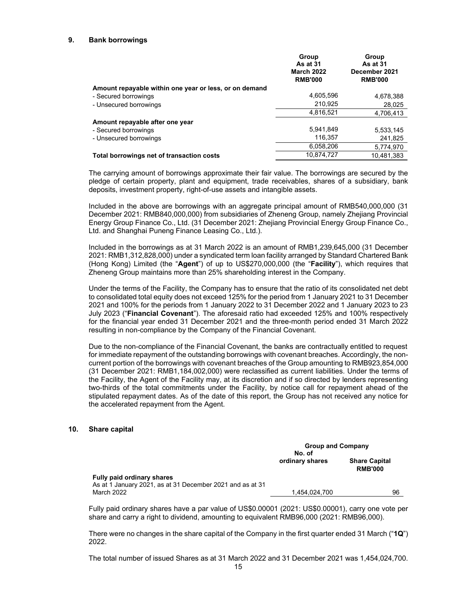# **9. Bank borrowings**

|                                                        | Group<br><b>As at 31</b><br><b>March 2022</b><br><b>RMB'000</b> | Group<br><b>As at 31</b><br>December 2021<br><b>RMB'000</b> |
|--------------------------------------------------------|-----------------------------------------------------------------|-------------------------------------------------------------|
| Amount repayable within one year or less, or on demand |                                                                 |                                                             |
| - Secured borrowings                                   | 4,605,596                                                       | 4,678,388                                                   |
| - Unsecured borrowings                                 | 210,925                                                         | 28,025                                                      |
|                                                        | 4,816,521                                                       | 4,706,413                                                   |
| Amount repayable after one year                        |                                                                 |                                                             |
| - Secured borrowings                                   | 5,941,849                                                       | 5.533.145                                                   |
| - Unsecured borrowings                                 | 116.357                                                         | 241,825                                                     |
|                                                        | 6,058,206                                                       | 5,774,970                                                   |
| Total borrowings net of transaction costs              | 10,874,727                                                      | 10.481.383                                                  |

The carrying amount of borrowings approximate their fair value. The borrowings are secured by the pledge of certain property, plant and equipment, trade receivables, shares of a subsidiary, bank deposits, investment property, right-of-use assets and intangible assets.

Included in the above are borrowings with an aggregate principal amount of RMB540,000,000 (31 December 2021: RMB840,000,000) from subsidiaries of Zheneng Group, namely Zhejiang Provincial Energy Group Finance Co., Ltd. (31 December 2021: Zhejiang Provincial Energy Group Finance Co., Ltd. and Shanghai Puneng Finance Leasing Co., Ltd.).

Included in the borrowings as at 31 March 2022 is an amount of RMB1,239,645,000 (31 December 2021: RMB1,312,828,000) under a syndicated term loan facility arranged by Standard Chartered Bank (Hong Kong) Limited (the "**Agent**") of up to US\$270,000,000 (the "**Facility**"), which requires that Zheneng Group maintains more than 25% shareholding interest in the Company.

Under the terms of the Facility, the Company has to ensure that the ratio of its consolidated net debt to consolidated total equity does not exceed 125% for the period from 1 January 2021 to 31 December 2021 and 100% for the periods from 1 January 2022 to 31 December 2022 and 1 January 2023 to 23 July 2023 ("**Financial Covenant**"). The aforesaid ratio had exceeded 125% and 100% respectively for the financial year ended 31 December 2021 and the three-month period ended 31 March 2022 resulting in non-compliance by the Company of the Financial Covenant.

Due to the non-compliance of the Financial Covenant, the banks are contractually entitled to request for immediate repayment of the outstanding borrowings with covenant breaches. Accordingly, the noncurrent portion of the borrowings with covenant breaches of the Group amounting to RMB923,854,000 (31 December 2021: RMB1,184,002,000) were reclassified as current liabilities. Under the terms of the Facility, the Agent of the Facility may, at its discretion and if so directed by lenders representing two-thirds of the total commitments under the Facility, by notice call for repayment ahead of the stipulated repayment dates. As of the date of this report, the Group has not received any notice for the accelerated repayment from the Agent.

## **10. Share capital**

|                                                                                         | <b>Group and Company</b><br>No. of |                                        |  |
|-----------------------------------------------------------------------------------------|------------------------------------|----------------------------------------|--|
|                                                                                         | ordinary shares                    | <b>Share Capital</b><br><b>RMB'000</b> |  |
| Fully paid ordinary shares<br>As at 1 January 2021, as at 31 December 2021 and as at 31 |                                    |                                        |  |
| March 2022                                                                              | 1.454.024.700                      | 96                                     |  |

Fully paid ordinary shares have a par value of US\$0.00001 (2021: US\$0.00001), carry one vote per share and carry a right to dividend, amounting to equivalent RMB96,000 (2021: RMB96,000).

There were no changes in the share capital of the Company in the first quarter ended 31 March ("**1Q**") 2022.

The total number of issued Shares as at 31 March 2022 and 31 December 2021 was 1,454,024,700.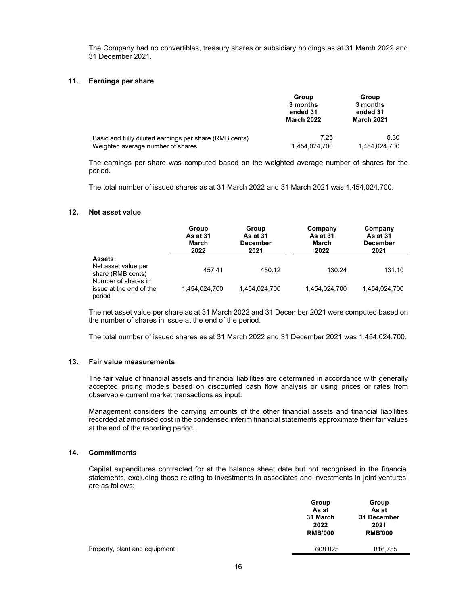The Company had no convertibles, treasury shares or subsidiary holdings as at 31 March 2022 and 31 December 2021.

### **11. Earnings per share**

|                                                        | Group<br>3 months<br>ended 31<br><b>March 2022</b> | Group<br>3 months<br>ended 31<br><b>March 2021</b> |  |
|--------------------------------------------------------|----------------------------------------------------|----------------------------------------------------|--|
| Basic and fully diluted earnings per share (RMB cents) | 7.25                                               | 5.30                                               |  |
| Weighted average number of shares                      | 1,454,024,700                                      | 1,454,024,700                                      |  |

The earnings per share was computed based on the weighted average number of shares for the period.

The total number of issued shares as at 31 March 2022 and 31 March 2021 was 1,454,024,700.

## **12. Net asset value**

|                                                          | Group<br>As at 31<br>March<br>2022 | Group<br>As at 31<br><b>December</b><br>2021 | Company<br>As at 31<br>March<br>2022 | Company<br>As at 31<br><b>December</b><br>2021 |
|----------------------------------------------------------|------------------------------------|----------------------------------------------|--------------------------------------|------------------------------------------------|
| <b>Assets</b>                                            |                                    |                                              |                                      |                                                |
| Net asset value per<br>share (RMB cents)                 | 457.41                             | 450.12                                       | 130.24                               | 131.10                                         |
| Number of shares in<br>issue at the end of the<br>period | 1.454.024.700                      | 1.454.024.700                                | 1.454.024.700                        | 1.454.024.700                                  |

The net asset value per share as at 31 March 2022 and 31 December 2021 were computed based on the number of shares in issue at the end of the period.

The total number of issued shares as at 31 March 2022 and 31 December 2021 was 1,454,024,700.

# **13. Fair value measurements**

The fair value of financial assets and financial liabilities are determined in accordance with generally accepted pricing models based on discounted cash flow analysis or using prices or rates from observable current market transactions as input.

Management considers the carrying amounts of the other financial assets and financial liabilities recorded at amortised cost in the condensed interim financial statements approximate their fair values at the end of the reporting period.

### **14. Commitments**

Capital expenditures contracted for at the balance sheet date but not recognised in the financial statements, excluding those relating to investments in associates and investments in joint ventures, are as follows:

|                               | Group<br>As at<br>31 March<br>2022<br><b>RMB'000</b> | Group<br>As at<br>31 December<br>2021<br><b>RMB'000</b> |
|-------------------------------|------------------------------------------------------|---------------------------------------------------------|
| Property, plant and equipment | 608,825                                              | 816,755                                                 |
|                               |                                                      |                                                         |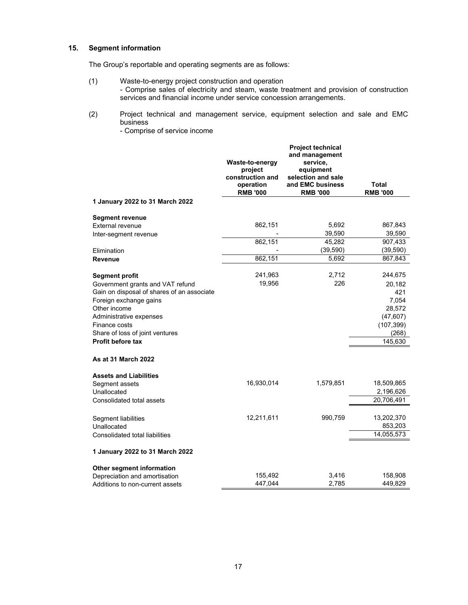# **15. Segment information**

The Group's reportable and operating segments are as follows:

- (1) Waste-to-energy project construction and operation - Comprise sales of electricity and steam, waste treatment and provision of construction services and financial income under service concession arrangements.
- (2) Project technical and management service, equipment selection and sale and EMC business
	- Comprise of service income

|                                                                                                                                                                                                                                                       | Waste-to-energy<br>project<br>construction and<br>operation<br><b>RMB '000</b> | <b>Project technical</b><br>and management<br>service,<br>equipment<br>selection and sale<br>and EMC business<br><b>RMB '000</b> | Total<br><b>RMB '000</b>                                                                   |
|-------------------------------------------------------------------------------------------------------------------------------------------------------------------------------------------------------------------------------------------------------|--------------------------------------------------------------------------------|----------------------------------------------------------------------------------------------------------------------------------|--------------------------------------------------------------------------------------------|
| 1 January 2022 to 31 March 2022                                                                                                                                                                                                                       |                                                                                |                                                                                                                                  |                                                                                            |
| <b>Segment revenue</b><br>External revenue<br>Inter-segment revenue<br>Elimination<br><b>Revenue</b>                                                                                                                                                  | 862,151<br>862,151<br>862,151                                                  | 5,692<br>39,590<br>45,282<br>(39, 590)<br>5,692                                                                                  | 867,843<br>39,590<br>907,433<br>(39, 590)<br>867,843                                       |
| <b>Segment profit</b><br>Government grants and VAT refund<br>Gain on disposal of shares of an associate<br>Foreign exchange gains<br>Other income<br>Administrative expenses<br>Finance costs<br>Share of loss of joint ventures<br>Profit before tax | 241,963<br>19,956                                                              | 2,712<br>226                                                                                                                     | 244,675<br>20,182<br>421<br>7,054<br>28,572<br>(47, 607)<br>(107, 399)<br>(268)<br>145,630 |
| <b>As at 31 March 2022</b><br><b>Assets and Liabilities</b><br>Segment assets<br>Unallocated<br>Consolidated total assets                                                                                                                             | 16,930,014                                                                     | 1,579,851                                                                                                                        | 18,509,865<br>2,196,626<br>20,706,491                                                      |
| Segment liabilities<br>Unallocated<br>Consolidated total liabilities                                                                                                                                                                                  | 12,211,611                                                                     | 990,759                                                                                                                          | 13,202,370<br>853,203<br>14,055,573                                                        |
| 1 January 2022 to 31 March 2022                                                                                                                                                                                                                       |                                                                                |                                                                                                                                  |                                                                                            |
| Other segment information<br>Depreciation and amortisation<br>Additions to non-current assets                                                                                                                                                         | 155,492<br>447,044                                                             | 3,416<br>2,785                                                                                                                   | 158,908<br>449,829                                                                         |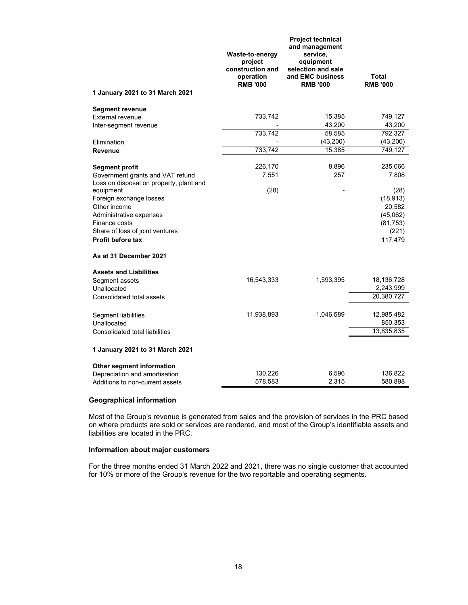|                                                                                                                                                          | Waste-to-energy<br>project<br>construction and<br>operation<br><b>RMB '000</b> | Project technical<br>and management<br>service,<br>equipment<br>selection and sale<br>and EMC business<br><b>RMB '000</b> | <b>Total</b><br><b>RMB '000</b>                                          |
|----------------------------------------------------------------------------------------------------------------------------------------------------------|--------------------------------------------------------------------------------|---------------------------------------------------------------------------------------------------------------------------|--------------------------------------------------------------------------|
| 1 January 2021 to 31 March 2021                                                                                                                          |                                                                                |                                                                                                                           |                                                                          |
| <b>Segment revenue</b><br><b>External revenue</b><br>Inter-segment revenue<br>Elimination<br><b>Revenue</b>                                              | 733,742<br>733,742<br>733,742                                                  | 15,385<br>43,200<br>58,585<br>(43, 200)<br>15,385                                                                         | 749,127<br>43,200<br>792,327<br>(43,200)<br>749,127                      |
| <b>Segment profit</b><br>Government grants and VAT refund<br>Loss on disposal on property, plant and                                                     | 226,170<br>7,551                                                               | 8,896<br>257                                                                                                              | 235,066<br>7,808                                                         |
| equipment<br>Foreign exchange losses<br>Other income<br>Administrative expenses<br>Finance costs<br>Share of loss of joint ventures<br>Profit before tax | (28)                                                                           |                                                                                                                           | (28)<br>(18, 913)<br>20,582<br>(45,062)<br>(81, 753)<br>(221)<br>117,479 |
| As at 31 December 2021                                                                                                                                   |                                                                                |                                                                                                                           |                                                                          |
| <b>Assets and Liabilities</b><br>Segment assets<br>Unallocated<br>Consolidated total assets                                                              | 16,543,333                                                                     | 1,593,395                                                                                                                 | 18,136,728<br>2,243,999<br>20,380,727                                    |
| Segment liabilities<br>Unallocated<br>Consolidated total liabilities                                                                                     | 11,938,893                                                                     | 1,046,589                                                                                                                 | 12,985,482<br>850,353<br>13,835,835                                      |
| 1 January 2021 to 31 March 2021                                                                                                                          |                                                                                |                                                                                                                           |                                                                          |
| Other segment information<br>Depreciation and amortisation                                                                                               | 130,226                                                                        | 6,596                                                                                                                     | 136,822                                                                  |
| Additions to non-current assets                                                                                                                          | 578,583                                                                        | 2,315                                                                                                                     | 580,898                                                                  |

# **Geographical information**

Most of the Group's revenue is generated from sales and the provision of services in the PRC based on where products are sold or services are rendered, and most of the Group's identifiable assets and liabilities are located in the PRC.

# **Information about major customers**

For the three months ended 31 March 2022 and 2021, there was no single customer that accounted for 10% or more of the Group's revenue for the two reportable and operating segments.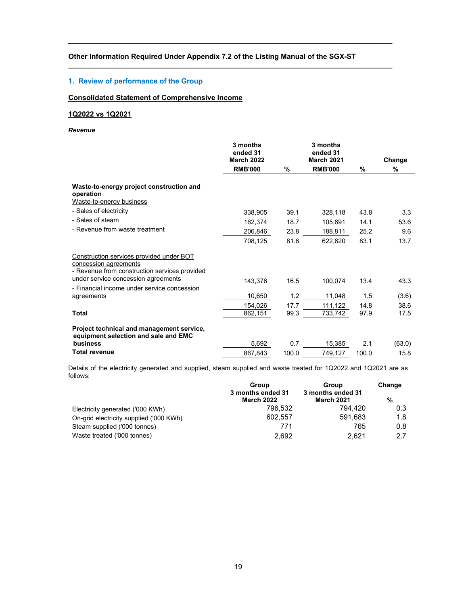# **Other Information Required Under Appendix 7.2 of the Listing Manual of the SGX-ST**

**\_\_\_\_\_\_\_\_\_\_\_\_\_\_\_\_\_\_\_\_\_\_\_\_\_\_\_\_\_\_\_\_\_\_\_\_\_\_\_\_\_\_\_\_\_\_\_\_\_\_\_\_\_\_\_\_\_\_\_\_\_\_\_\_\_\_\_\_\_\_\_\_\_\_\_\_\_\_\_\_\_** 

**\_\_\_\_\_\_\_\_\_\_\_\_\_\_\_\_\_\_\_\_\_\_\_\_\_\_\_\_\_\_\_\_\_\_\_\_\_\_\_\_\_\_\_\_\_\_\_\_\_\_\_\_\_\_\_\_\_\_\_\_\_\_\_\_\_\_\_\_\_\_\_\_\_\_\_\_\_\_\_\_\_** 

# **1. Review of performance of the Group**

# **Consolidated Statement of Comprehensive Income**

# **1Q2022 vs 1Q2021**

### *Revenue*

|                                                                                                                                                           | 3 months<br>ended 31<br><b>March 2022</b><br><b>RMB'000</b> | %     | 3 months<br>ended 31<br><b>March 2021</b><br><b>RMB'000</b> | %     | Change<br>% |
|-----------------------------------------------------------------------------------------------------------------------------------------------------------|-------------------------------------------------------------|-------|-------------------------------------------------------------|-------|-------------|
| Waste-to-energy project construction and<br>operation<br>Waste-to-energy business                                                                         |                                                             |       |                                                             |       |             |
| - Sales of electricity                                                                                                                                    | 338,905                                                     | 39.1  | 328,118                                                     | 43.8  | 3.3         |
| - Sales of steam                                                                                                                                          | 162,374                                                     | 18.7  | 105.691                                                     | 14.1  | 53.6        |
| - Revenue from waste treatment                                                                                                                            | 206,846                                                     | 23.8  | 188,811                                                     | 25.2  | 9.6         |
|                                                                                                                                                           | 708,125                                                     | 81.6  | 622,620                                                     | 83.1  | 13.7        |
| Construction services provided under BOT<br>concession agreements<br>- Revenue from construction services provided<br>under service concession agreements |                                                             |       |                                                             |       |             |
| - Financial income under service concession                                                                                                               | 143.376                                                     | 16.5  | 100.074                                                     | 13.4  | 43.3        |
| agreements                                                                                                                                                | 10,650                                                      | 1.2   | 11,048                                                      | 1.5   | (3.6)       |
|                                                                                                                                                           | 154,026                                                     | 17.7  | 111,122                                                     | 14.8  | 38.6        |
| Total                                                                                                                                                     | 862,151                                                     | 99.3  | 733,742                                                     | 97.9  | 17.5        |
| Project technical and management service,<br>equipment selection and sale and EMC                                                                         |                                                             |       |                                                             |       |             |
| business                                                                                                                                                  | 5,692                                                       | 0.7   | 15,385                                                      | 2.1   | (63.0)      |
| Total revenue                                                                                                                                             | 867.843                                                     | 100.0 | 749,127                                                     | 100.0 | 15.8        |

Details of the electricity generated and supplied, steam supplied and waste treated for 1Q2022 and 1Q2021 are as follows:

|                                         | <b>Group</b>                    | Group                                  | Change |
|-----------------------------------------|---------------------------------|----------------------------------------|--------|
|                                         | 3 months ended 31<br>March 2022 | 3 months ended 31<br><b>March 2021</b> | %      |
| Electricity generated ('000 KWh)        | 796.532                         | 794.420                                | 0.3    |
| On-grid electricity supplied ('000 KWh) | 602.557                         | 591.683                                | 1.8    |
| Steam supplied ('000 tonnes)            | 771                             | 765                                    | 0.8    |
| Waste treated ('000 tonnes)             | 2.692                           | 2.621                                  | 2.7    |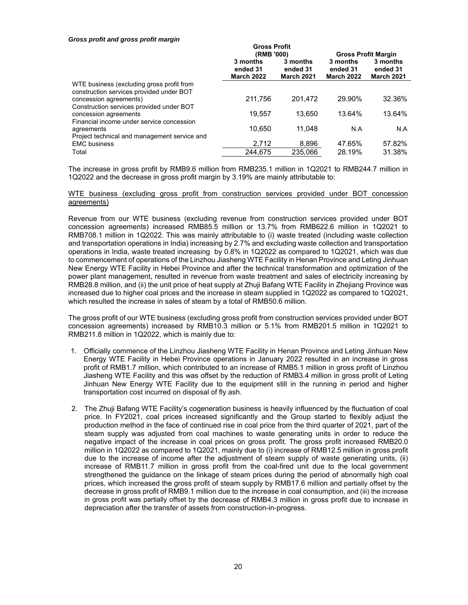#### *Gross profit and gross profit margin*

|                                                                                       | GIUSS FIUIIL                              |                                           |                                           |                                           |
|---------------------------------------------------------------------------------------|-------------------------------------------|-------------------------------------------|-------------------------------------------|-------------------------------------------|
|                                                                                       | (RMB '000)                                |                                           | <b>Gross Profit Margin</b>                |                                           |
|                                                                                       | 3 months<br>ended 31<br><b>March 2022</b> | 3 months<br>ended 31<br><b>March 2021</b> | 3 months<br>ended 31<br><b>March 2022</b> | 3 months<br>ended 31<br><b>March 2021</b> |
| WTE business (excluding gross profit from<br>construction services provided under BOT |                                           |                                           |                                           |                                           |
| concession agreements)<br>Construction services provided under BOT                    | 211,756                                   | 201.472                                   | 29.90%                                    | 32.36%                                    |
| concession agreements<br>Financial income under service concession                    | 19,557                                    | 13,650                                    | 13.64%                                    | 13.64%                                    |
| agreements<br>Project technical and management service and                            | 10,650                                    | 11,048                                    | N.A                                       | N.A                                       |
| <b>EMC</b> business                                                                   | 2,712                                     | 8,896                                     | 47.65%                                    | 57.82%                                    |
| Total                                                                                 | 244.675                                   | 235.066                                   | 28.19%                                    | 31.38%                                    |

**Gross Profit** 

The increase in gross profit by RMB9.6 million from RMB235.1 million in 1Q2021 to RMB244.7 million in 1Q2022 and the decrease in gross profit margin by 3.19% are mainly attributable to:

#### WTE business (excluding gross profit from construction services provided under BOT concession agreements)

Revenue from our WTE business (excluding revenue from construction services provided under BOT concession agreements) increased RMB85.5 million or 13.7% from RMB622.6 million in 1Q2021 to RMB708.1 million in 1Q2022. This was mainly attributable to (i) waste treated (including waste collection and transportation operations in India) increasing by 2.7% and excluding waste collection and transportation operations in India, waste treated increasing by 0.8% in 1Q2022 as compared to 1Q2021, which was due to commencement of operations of the Linzhou Jiasheng WTE Facility in Henan Province and Leting Jinhuan New Energy WTE Facility in Hebei Province and after the technical transformation and optimization of the power plant management, resulted in revenue from waste treatment and sales of electricity increasing by RMB28.8 million, and (ii) the unit price of heat supply at Zhuji Bafang WTE Facility in Zhejiang Province was increased due to higher coal prices and the increase in steam supplied in 1Q2022 as compared to 1Q2021, which resulted the increase in sales of steam by a total of RMB50.6 million.

The gross profit of our WTE business (excluding gross profit from construction services provided under BOT concession agreements) increased by RMB10.3 million or 5.1% from RMB201.5 million in 1Q2021 to RMB211.8 million in 1Q2022, which is mainly due to:

- 1. Officially commence of the Linzhou Jiasheng WTE Facility in Henan Province and Leting Jinhuan New Energy WTE Facility in Hebei Province operations in January 2022 resulted in an increase in gross profit of RMB1.7 million, which contributed to an increase of RMB5.1 million in gross profit of Linzhou Jiasheng WTE Facility and this was offset by the reduction of RMB3.4 million in gross profit of Leting Jinhuan New Energy WTE Facility due to the equipment still in the running in period and higher transportation cost incurred on disposal of fly ash.
- 2. The Zhuji Bafang WTE Facility's cogeneration business is heavily influenced by the fluctuation of coal price. In FY2021, coal prices increased significantly and the Group started to flexibly adjust the production method in the face of continued rise in coal price from the third quarter of 2021, part of the steam supply was adjusted from coal machines to waste generating units in order to reduce the negative impact of the increase in coal prices on gross profit. The gross profit increased RMB20.0 million in 1Q2022 as compared to 1Q2021, mainly due to (i) increase of RMB12.5 million in gross profit due to the increase of income after the adjustment of steam supply of waste generating units, (ii) increase of RMB11.7 million in gross profit from the coal-fired unit due to the local government strengthened the guidance on the linkage of steam prices during the period of abnormally high coal prices, which increased the gross profit of steam supply by RMB17.6 million and partially offset by the decrease in gross profit of RMB9.1 million due to the increase in coal consumption, and (iii) the increase in gross profit was partially offset by the decrease of RMB4.3 million in gross profit due to increase in depreciation after the transfer of assets from construction-in-progress.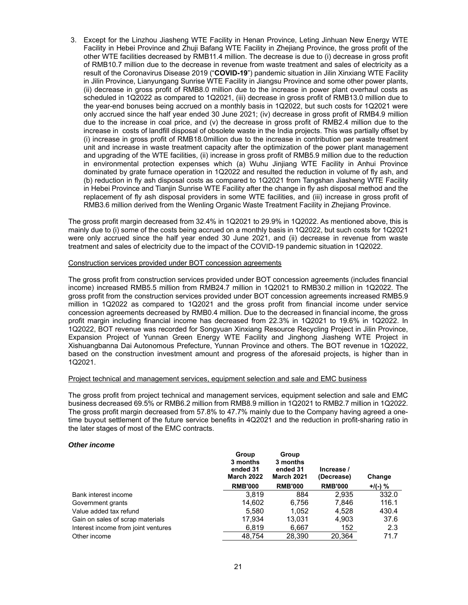3. Except for the Linzhou Jiasheng WTE Facility in Henan Province, Leting Jinhuan New Energy WTE Facility in Hebei Province and Zhuji Bafang WTE Facility in Zhejiang Province, the gross profit of the other WTE facilities decreased by RMB11.4 million. The decrease is due to (i) decrease in gross profit of RMB10.7 million due to the decrease in revenue from waste treatment and sales of electricity as a result of the Coronavirus Disease 2019 ("**COVID-19**") pandemic situation in Jilin Xinxiang WTE Facility in Jilin Province, Lianyungang Sunrise WTE Facility in Jiangsu Province and some other power plants, (ii) decrease in gross profit of RMB8.0 million due to the increase in power plant overhaul costs as scheduled in 1Q2022 as compared to 1Q2021, (iii) decrease in gross profit of RMB13.0 million due to the year-end bonuses being accrued on a monthly basis in 1Q2022, but such costs for 1Q2021 were only accrued since the half year ended 30 June 2021; (iv) decrease in gross profit of RMB4.9 million due to the increase in coal price, and (v) the decrease in gross profit of RMB2.4 million due to the increase in costs of landfill disposal of obsolete waste in the India projects. This was partially offset by (i) increase in gross profit of RMB18.0million due to the increase in contribution per waste treatment unit and increase in waste treatment capacity after the optimization of the power plant management and upgrading of the WTE facilities, (ii) increase in gross profit of RMB5.9 million due to the reduction in environmental protection expenses which (a) Wuhu Jinjiang WTE Facility in Anhui Province dominated by grate furnace operation in 1Q2022 and resulted the reduction in volume of fly ash, and (b) reduction in fly ash disposal costs as compared to 1Q2021 from Tangshan Jiasheng WTE Facility in Hebei Province and Tianjin Sunrise WTE Facility after the change in fly ash disposal method and the replacement of fly ash disposal providers in some WTE facilities, and (iii) increase in gross profit of RMB3.6 million derived from the Wenling Organic Waste Treatment Facility in Zhejiang Province.

The gross profit margin decreased from 32.4% in 1Q2021 to 29.9% in 1Q2022. As mentioned above, this is mainly due to (i) some of the costs being accrued on a monthly basis in 1Q2022, but such costs for 1Q2021 were only accrued since the half year ended 30 June 2021, and (ii) decrease in revenue from waste treatment and sales of electricity due to the impact of the COVID-19 pandemic situation in 1Q2022.

### Construction services provided under BOT concession agreements

The gross profit from construction services provided under BOT concession agreements (includes financial income) increased RMB5.5 million from RMB24.7 million in 1Q2021 to RMB30.2 million in 1Q2022. The gross profit from the construction services provided under BOT concession agreements increased RMB5.9 million in 1Q2022 as compared to 1Q2021 and the gross profit from financial income under service concession agreements decreased by RMB0.4 million. Due to the decreased in financial income, the gross profit margin including financial income has decreased from 22.3% in 1Q2021 to 19.6% in 1Q2022. In 1Q2022, BOT revenue was recorded for Songyuan Xinxiang Resource Recycling Project in Jilin Province, Expansion Project of Yunnan Green Energy WTE Facility and Jinghong Jiasheng WTE Project in Xishuangbanna Dai Autonomous Prefecture, Yunnan Province and others. The BOT revenue in 1Q2022, based on the construction investment amount and progress of the aforesaid projects, is higher than in 1Q2021.

# Project technical and management services, equipment selection and sale and EMC business

The gross profit from project technical and management services, equipment selection and sale and EMC business decreased 69.5% or RMB6.2 million from RMB8.9 million in 1Q2021 to RMB2.7 million in 1Q2022. The gross profit margin decreased from 57.8% to 47.7% mainly due to the Company having agreed a onetime buyout settlement of the future service benefits in 4Q2021 and the reduction in profit-sharing ratio in the later stages of most of the EMC contracts.

#### *Other income*

|                                     | Group<br>3 months<br>ended 31<br><b>March 2022</b> | Group<br>3 months<br>ended 31<br><b>March 2021</b> | Increase /<br>(Decrease) | Change     |
|-------------------------------------|----------------------------------------------------|----------------------------------------------------|--------------------------|------------|
|                                     | <b>RMB'000</b>                                     | <b>RMB'000</b>                                     | <b>RMB'000</b>           | $+$ /(-) % |
| Bank interest income                | 3.819                                              | 884                                                | 2,935                    | 332.0      |
| Government grants                   | 14.602                                             | 6.756                                              | 7.846                    | 116.1      |
| Value added tax refund              | 5.580                                              | 1.052                                              | 4.528                    | 430.4      |
| Gain on sales of scrap materials    | 17.934                                             | 13.031                                             | 4,903                    | 37.6       |
| Interest income from joint ventures | 6,819                                              | 6,667                                              | 152                      | 2.3        |
| Other income                        | 48.754                                             | 28.390                                             | 20.364                   | 71.7       |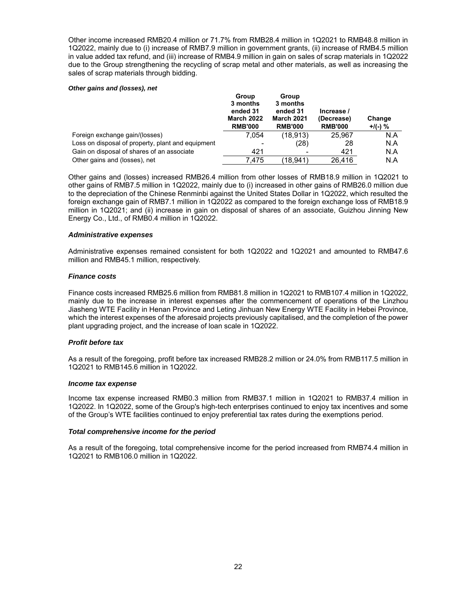Other income increased RMB20.4 million or 71.7% from RMB28.4 million in 1Q2021 to RMB48.8 million in 1Q2022, mainly due to (i) increase of RMB7.9 million in government grants, (ii) increase of RMB4.5 million in value added tax refund, and (iii) increase of RMB4.9 million in gain on sales of scrap materials in 1Q2022 due to the Group strengthening the recycling of scrap metal and other materials, as well as increasing the sales of scrap materials through bidding.

#### *Other gains and (losses), net*

|                                                   | Group<br>3 months<br>ended 31<br><b>March 2022</b><br><b>RMB'000</b> | Group<br>3 months<br>ended 31<br><b>March 2021</b><br><b>RMB'000</b> | Increase /<br>(Decrease)<br><b>RMB'000</b> | Change<br>$+/(-)$ % |
|---------------------------------------------------|----------------------------------------------------------------------|----------------------------------------------------------------------|--------------------------------------------|---------------------|
| Foreign exchange gain/(losses)                    | 7.054                                                                | (18, 913)                                                            | 25.967                                     | N.A                 |
| Loss on disposal of property, plant and equipment | -                                                                    | (28)                                                                 | 28                                         | N.A                 |
| Gain on disposal of shares of an associate        | 421                                                                  |                                                                      | 421                                        | N.A                 |
| Other gains and (losses), net                     | 7.475                                                                | (18.941)                                                             | 26.416                                     | N.A                 |

Other gains and (losses) increased RMB26.4 million from other losses of RMB18.9 million in 1Q2021 to other gains of RMB7.5 million in 1Q2022, mainly due to (i) increased in other gains of RMB26.0 million due to the depreciation of the Chinese Renminbi against the United States Dollar in 1Q2022, which resulted the foreign exchange gain of RMB7.1 million in 1Q2022 as compared to the foreign exchange loss of RMB18.9 million in 1Q2021; and (ii) increase in gain on disposal of shares of an associate, Guizhou Jinning New Energy Co., Ltd., of RMB0.4 million in 1Q2022.

# *Administrative expenses*

Administrative expenses remained consistent for both 1Q2022 and 1Q2021 and amounted to RMB47.6 million and RMB45.1 million, respectively.

## *Finance costs*

Finance costs increased RMB25.6 million from RMB81.8 million in 1Q2021 to RMB107.4 million in 1Q2022, mainly due to the increase in interest expenses after the commencement of operations of the Linzhou Jiasheng WTE Facility in Henan Province and Leting Jinhuan New Energy WTE Facility in Hebei Province, which the interest expenses of the aforesaid projects previously capitalised, and the completion of the power plant upgrading project, and the increase of loan scale in 1Q2022.

## *Profit before tax*

As a result of the foregoing, profit before tax increased RMB28.2 million or 24.0% from RMB117.5 million in 1Q2021 to RMB145.6 million in 1Q2022.

#### *Income tax expense*

Income tax expense increased RMB0.3 million from RMB37.1 million in 1Q2021 to RMB37.4 million in 1Q2022. In 1Q2022, some of the Group's high-tech enterprises continued to enjoy tax incentives and some of the Group's WTE facilities continued to enjoy preferential tax rates during the exemptions period.

#### *Total comprehensive income for the period*

As a result of the foregoing, total comprehensive income for the period increased from RMB74.4 million in 1Q2021 to RMB106.0 million in 1Q2022.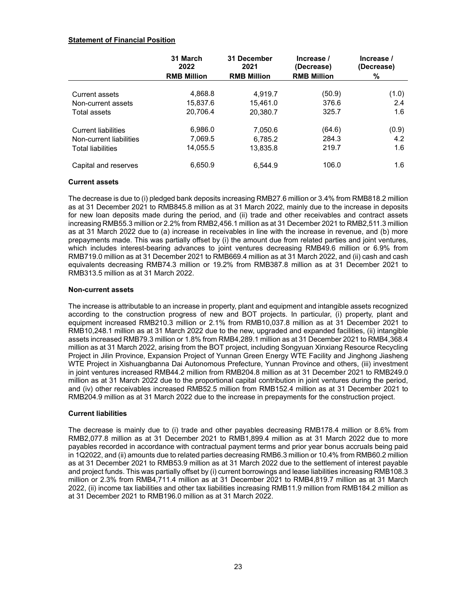# **Statement of Financial Position**

|                            | 31 March<br>2022<br><b>RMB Million</b> | 31 December<br>2021<br><b>RMB Million</b> | Increase /<br>(Decrease)<br><b>RMB Million</b> | Increase /<br>(Decrease)<br>% |
|----------------------------|----------------------------------------|-------------------------------------------|------------------------------------------------|-------------------------------|
|                            |                                        |                                           |                                                |                               |
| Current assets             | 4,868.8                                | 4.919.7                                   | (50.9)                                         | (1.0)                         |
| Non-current assets         | 15,837.6                               | 15,461.0                                  | 376.6                                          | 2.4                           |
| Total assets               | 20,706.4                               | 20,380.7                                  | 325.7                                          | 1.6                           |
| <b>Current liabilities</b> | 6,986.0                                | 7.050.6                                   | (64.6)                                         | (0.9)                         |
| Non-current liabilities    | 7,069.5                                | 6,785.2                                   | 284.3                                          | 4.2                           |
| <b>Total liabilities</b>   | 14,055.5                               | 13,835.8                                  | 219.7                                          | 1.6                           |
| Capital and reserves       | 6,650.9                                | 6.544.9                                   | 106.0                                          | 1.6                           |

## **Current assets**

The decrease is due to (i) pledged bank deposits increasing RMB27.6 million or 3.4% from RMB818.2 million as at 31 December 2021 to RMB845.8 million as at 31 March 2022, mainly due to the increase in deposits for new loan deposits made during the period, and (ii) trade and other receivables and contract assets increasing RMB55.3 million or 2.2% from RMB2,456.1 million as at 31 December 2021 to RMB2,511.3 million as at 31 March 2022 due to (a) increase in receivables in line with the increase in revenue, and (b) more prepayments made. This was partially offset by (i) the amount due from related parties and joint ventures, which includes interest-bearing advances to joint ventures decreasing RMB49.6 million or 6.9% from RMB719.0 million as at 31 December 2021 to RMB669.4 million as at 31 March 2022, and (ii) cash and cash equivalents decreasing RMB74.3 million or 19.2% from RMB387.8 million as at 31 December 2021 to RMB313.5 million as at 31 March 2022.

## **Non-current assets**

The increase is attributable to an increase in property, plant and equipment and intangible assets recognized according to the construction progress of new and BOT projects. In particular, (i) property, plant and equipment increased RMB210.3 million or 2.1% from RMB10,037.8 million as at 31 December 2021 to RMB10,248.1 million as at 31 March 2022 due to the new, upgraded and expanded facilities, (ii) intangible assets increased RMB79.3 million or 1.8% from RMB4,289.1 million as at 31 December 2021 to RMB4,368.4 million as at 31 March 2022, arising from the BOT project, including Songyuan Xinxiang Resource Recycling Project in Jilin Province, Expansion Project of Yunnan Green Energy WTE Facility and Jinghong Jiasheng WTE Project in Xishuangbanna Dai Autonomous Prefecture, Yunnan Province and others, (iii) investment in joint ventures increased RMB44.2 million from RMB204.8 million as at 31 December 2021 to RMB249.0 million as at 31 March 2022 due to the proportional capital contribution in joint ventures during the period, and (iv) other receivables increased RMB52.5 million from RMB152.4 million as at 31 December 2021 to RMB204.9 million as at 31 March 2022 due to the increase in prepayments for the construction project.

# **Current liabilities**

The decrease is mainly due to (i) trade and other payables decreasing RMB178.4 million or 8.6% from RMB2,077.8 million as at 31 December 2021 to RMB1,899.4 million as at 31 March 2022 due to more payables recorded in accordance with contractual payment terms and prior year bonus accruals being paid in 1Q2022, and (ii) amounts due to related parties decreasing RMB6.3 million or 10.4% from RMB60.2 million as at 31 December 2021 to RMB53.9 million as at 31 March 2022 due to the settlement of interest payable and project funds. This was partially offset by (i) current borrowings and lease liabilities increasing RMB108.3 million or 2.3% from RMB4,711.4 million as at 31 December 2021 to RMB4,819.7 million as at 31 March 2022, (ii) income tax liabilities and other tax liabilities increasing RMB11.9 million from RMB184.2 million as at 31 December 2021 to RMB196.0 million as at 31 March 2022.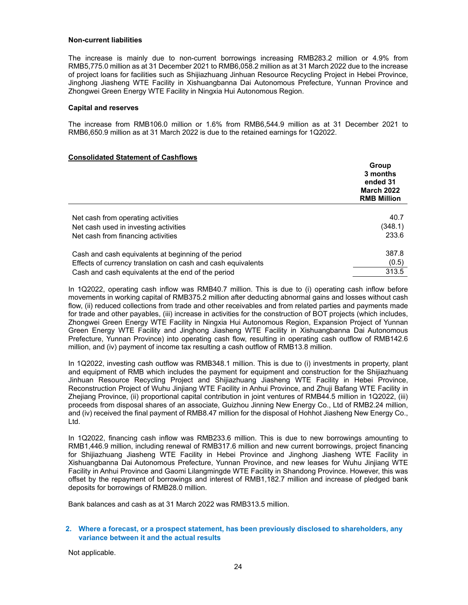### **Non-current liabilities**

The increase is mainly due to non-current borrowings increasing RMB283.2 million or 4.9% from RMB5,775.0 million as at 31 December 2021 to RMB6,058.2 million as at 31 March 2022 due to the increase of project loans for facilities such as Shijiazhuang Jinhuan Resource Recycling Project in Hebei Province, Jinghong Jiasheng WTE Facility in Xishuangbanna Dai Autonomous Prefecture, Yunnan Province and Zhongwei Green Energy WTE Facility in Ningxia Hui Autonomous Region.

### **Capital and reserves**

The increase from RMB106.0 million or 1.6% from RMB6,544.9 million as at 31 December 2021 to RMB6,650.9 million as at 31 March 2022 is due to the retained earnings for 1Q2022.

## **Consolidated Statement of Cashflows**

|                                                              | Group<br>3 months<br>ended 31<br><b>March 2022</b><br><b>RMB Million</b> |
|--------------------------------------------------------------|--------------------------------------------------------------------------|
|                                                              |                                                                          |
| Net cash from operating activities                           | 40.7                                                                     |
| Net cash used in investing activities                        | (348.1)                                                                  |
| Net cash from financing activities                           | 233.6                                                                    |
| Cash and cash equivalents at beginning of the period         | 387.8                                                                    |
| Effects of currency translation on cash and cash equivalents | (0.5)                                                                    |
| Cash and cash equivalents at the end of the period           | 313.5                                                                    |

In 1Q2022, operating cash inflow was RMB40.7 million. This is due to (i) operating cash inflow before movements in working capital of RMB375.2 million after deducting abnormal gains and losses without cash flow, (ii) reduced collections from trade and other receivables and from related parties and payments made for trade and other payables, (iii) increase in activities for the construction of BOT projects (which includes, Zhongwei Green Energy WTE Facility in Ningxia Hui Autonomous Region, Expansion Project of Yunnan Green Energy WTE Facility and Jinghong Jiasheng WTE Facility in Xishuangbanna Dai Autonomous Prefecture, Yunnan Province) into operating cash flow, resulting in operating cash outflow of RMB142.6 million, and (iv) payment of income tax resulting a cash outflow of RMB13.8 million.

In 1Q2022, investing cash outflow was RMB348.1 million. This is due to (i) investments in property, plant and equipment of RMB which includes the payment for equipment and construction for the Shijiazhuang Jinhuan Resource Recycling Project and Shijiazhuang Jiasheng WTE Facility in Hebei Province, Reconstruction Project of Wuhu Jinjiang WTE Facility in Anhui Province, and Zhuji Bafang WTE Facility in Zhejiang Province, (ii) proportional capital contribution in joint ventures of RMB44.5 million in 1Q2022, (iii) proceeds from disposal shares of an associate, Guizhou Jinning New Energy Co., Ltd of RMB2.24 million, and (iv) received the final payment of RMB8.47 million for the disposal of Hohhot Jiasheng New Energy Co., Ltd.

In 1Q2022, financing cash inflow was RMB233.6 million. This is due to new borrowings amounting to RMB1,446.9 million, including renewal of RMB317.6 million and new current borrowings, project financing for Shijiazhuang Jiasheng WTE Facility in Hebei Province and Jinghong Jiasheng WTE Facility in Xishuangbanna Dai Autonomous Prefecture, Yunnan Province, and new leases for Wuhu Jinjiang WTE Facility in Anhui Province and Gaomi Lilangmingde WTE Facility in Shandong Province. However, this was offset by the repayment of borrowings and interest of RMB1,182.7 million and increase of pledged bank deposits for borrowings of RMB28.0 million.

Bank balances and cash as at 31 March 2022 was RMB313.5 million.

# **2. Where a forecast, or a prospect statement, has been previously disclosed to shareholders, any variance between it and the actual results**

Not applicable.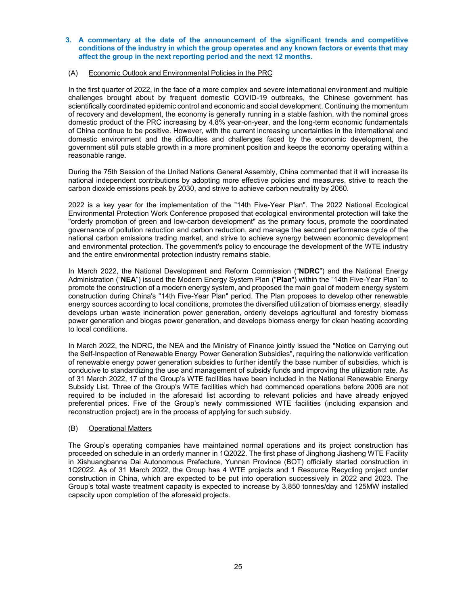# **3. A commentary at the date of the announcement of the significant trends and competitive conditions of the industry in which the group operates and any known factors or events that may affect the group in the next reporting period and the next 12 months.**

# (A) Economic Outlook and Environmental Policies in the PRC

In the first quarter of 2022, in the face of a more complex and severe international environment and multiple challenges brought about by frequent domestic COVID-19 outbreaks, the Chinese government has scientifically coordinated epidemic control and economic and social development. Continuing the momentum of recovery and development, the economy is generally running in a stable fashion, with the nominal gross domestic product of the PRC increasing by 4.8% year-on-year, and the long-term economic fundamentals of China continue to be positive. However, with the current increasing uncertainties in the international and domestic environment and the difficulties and challenges faced by the economic development, the government still puts stable growth in a more prominent position and keeps the economy operating within a reasonable range.

During the 75th Session of the United Nations General Assembly, China commented that it will increase its national independent contributions by adopting more effective policies and measures, strive to reach the carbon dioxide emissions peak by 2030, and strive to achieve carbon neutrality by 2060.

2022 is a key year for the implementation of the "14th Five-Year Plan". The 2022 National Ecological Environmental Protection Work Conference proposed that ecological environmental protection will take the "orderly promotion of green and low-carbon development" as the primary focus, promote the coordinated governance of pollution reduction and carbon reduction, and manage the second performance cycle of the national carbon emissions trading market, and strive to achieve synergy between economic development and environmental protection. The government's policy to encourage the development of the WTE industry and the entire environmental protection industry remains stable.

In March 2022, the National Development and Reform Commission ("**NDRC**") and the National Energy Administration ("**NEA**") issued the Modern Energy System Plan ("**Plan**") within the "14th Five-Year Plan" to promote the construction of a modern energy system, and proposed the main goal of modern energy system construction during China's "14th Five-Year Plan" period. The Plan proposes to develop other renewable energy sources according to local conditions, promotes the diversified utilization of biomass energy, steadily develops urban waste incineration power generation, orderly develops agricultural and forestry biomass power generation and biogas power generation, and develops biomass energy for clean heating according to local conditions.

In March 2022, the NDRC, the NEA and the Ministry of Finance jointly issued the "Notice on Carrying out the Self-Inspection of Renewable Energy Power Generation Subsidies", requiring the nationwide verification of renewable energy power generation subsidies to further identify the base number of subsidies, which is conducive to standardizing the use and management of subsidy funds and improving the utilization rate. As of 31 March 2022, 17 of the Group's WTE facilities have been included in the National Renewable Energy Subsidy List. Three of the Group's WTE facilities which had commenced operations before 2006 are not required to be included in the aforesaid list according to relevant policies and have already enjoyed preferential prices. Five of the Group's newly commissioned WTE facilities (including expansion and reconstruction project) are in the process of applying for such subsidy.

## (B) Operational Matters

The Group's operating companies have maintained normal operations and its project construction has proceeded on schedule in an orderly manner in 1Q2022. The first phase of Jinghong Jiasheng WTE Facility in Xishuangbanna Dai Autonomous Prefecture, Yunnan Province (BOT) officially started construction in 1Q2022. As of 31 March 2022, the Group has 4 WTE projects and 1 Resource Recycling project under construction in China, which are expected to be put into operation successively in 2022 and 2023. The Group's total waste treatment capacity is expected to increase by 3,850 tonnes/day and 125MW installed capacity upon completion of the aforesaid projects.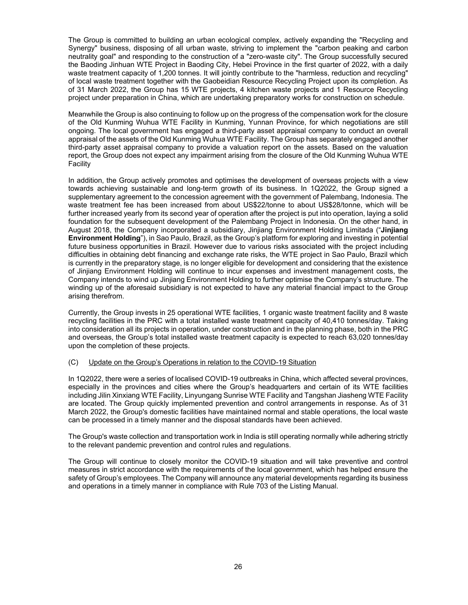The Group is committed to building an urban ecological complex, actively expanding the "Recycling and Synergy" business, disposing of all urban waste, striving to implement the "carbon peaking and carbon neutrality goal" and responding to the construction of a "zero-waste city". The Group successfully secured the Baoding Jinhuan WTE Project in Baoding City, Hebei Province in the first quarter of 2022, with a daily waste treatment capacity of 1,200 tonnes. It will jointly contribute to the "harmless, reduction and recycling" of local waste treatment together with the Gaobeidian Resource Recycling Project upon its completion. As of 31 March 2022, the Group has 15 WTE projects, 4 kitchen waste projects and 1 Resource Recycling project under preparation in China, which are undertaking preparatory works for construction on schedule.

Meanwhile the Group is also continuing to follow up on the progress of the compensation work for the closure of the Old Kunming Wuhua WTE Facility in Kunming, Yunnan Province, for which negotiations are still ongoing. The local government has engaged a third-party asset appraisal company to conduct an overall appraisal of the assets of the Old Kunming Wuhua WTE Facility. The Group has separately engaged another third-party asset appraisal company to provide a valuation report on the assets. Based on the valuation report, the Group does not expect any impairment arising from the closure of the Old Kunming Wuhua WTE **Facility** 

In addition, the Group actively promotes and optimises the development of overseas projects with a view towards achieving sustainable and long-term growth of its business. In 1Q2022, the Group signed a supplementary agreement to the concession agreement with the government of Palembang, Indonesia. The waste treatment fee has been increased from about US\$22/tonne to about US\$28/tonne, which will be further increased yearly from its second year of operation after the project is put into operation, laying a solid foundation for the subsequent development of the Palembang Project in Indonesia. On the other hand, in August 2018, the Company incorporated a subsidiary, Jinjiang Environment Holding Limitada ("**Jinjiang Environment Holding**"), in Sao Paulo, Brazil, as the Group's platform for exploring and investing in potential future business opportunities in Brazil. However due to various risks associated with the project including difficulties in obtaining debt financing and exchange rate risks, the WTE project in Sao Paulo, Brazil which is currently in the preparatory stage, is no longer eligible for development and considering that the existence of Jinjiang Environment Holding will continue to incur expenses and investment management costs, the Company intends to wind up Jinjiang Environment Holding to further optimise the Company's structure. The winding up of the aforesaid subsidiary is not expected to have any material financial impact to the Group arising therefrom.

Currently, the Group invests in 25 operational WTE facilities, 1 organic waste treatment facility and 8 waste recycling facilities in the PRC with a total installed waste treatment capacity of 40,410 tonnes/day. Taking into consideration all its projects in operation, under construction and in the planning phase, both in the PRC and overseas, the Group's total installed waste treatment capacity is expected to reach 63,020 tonnes/day upon the completion of these projects.

## (C) Update on the Group's Operations in relation to the COVID-19 Situation

In 1Q2022, there were a series of localised COVID-19 outbreaks in China, which affected several provinces, especially in the provinces and cities where the Group's headquarters and certain of its WTE facilities including Jilin Xinxiang WTE Facility, Linyungang Sunrise WTE Facility and Tangshan Jiasheng WTE Facility are located. The Group quickly implemented prevention and control arrangements in response. As of 31 March 2022, the Group's domestic facilities have maintained normal and stable operations, the local waste can be processed in a timely manner and the disposal standards have been achieved.

The Group's waste collection and transportation work in India is still operating normally while adhering strictly to the relevant pandemic prevention and control rules and regulations.

The Group will continue to closely monitor the COVID-19 situation and will take preventive and control measures in strict accordance with the requirements of the local government, which has helped ensure the safety of Group's employees. The Company will announce any material developments regarding its business and operations in a timely manner in compliance with Rule 703 of the Listing Manual.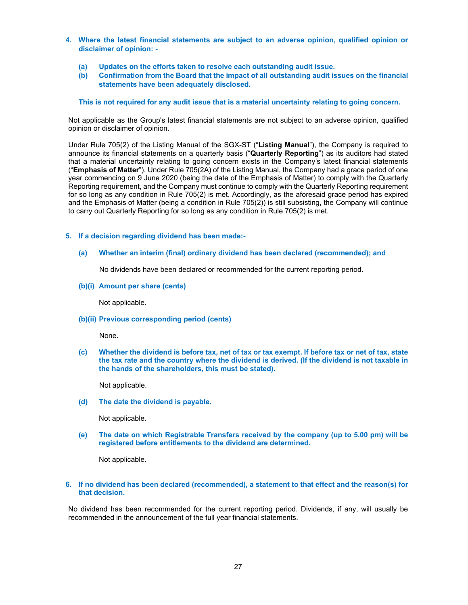- **4. Where the latest financial statements are subject to an adverse opinion, qualified opinion or disclaimer of opinion: -** 
	- **(a) Updates on the efforts taken to resolve each outstanding audit issue.**
	- **(b) Confirmation from the Board that the impact of all outstanding audit issues on the financial statements have been adequately disclosed.**

**This is not required for any audit issue that is a material uncertainty relating to going concern.** 

Not applicable as the Group's latest financial statements are not subject to an adverse opinion, qualified opinion or disclaimer of opinion.

Under Rule 705(2) of the Listing Manual of the SGX-ST ("**Listing Manual**"), the Company is required to announce its financial statements on a quarterly basis ("**Quarterly Reporting**") as its auditors had stated that a material uncertainty relating to going concern exists in the Company's latest financial statements ("**Emphasis of Matter**"). Under Rule 705(2A) of the Listing Manual, the Company had a grace period of one year commencing on 9 June 2020 (being the date of the Emphasis of Matter) to comply with the Quarterly Reporting requirement, and the Company must continue to comply with the Quarterly Reporting requirement for so long as any condition in Rule 705(2) is met. Accordingly, as the aforesaid grace period has expired and the Emphasis of Matter (being a condition in Rule 705(2)) is still subsisting, the Company will continue to carry out Quarterly Reporting for so long as any condition in Rule 705(2) is met.

# **5. If a decision regarding dividend has been made:-**

**(a) Whether an interim (final) ordinary dividend has been declared (recommended); and** 

No dividends have been declared or recommended for the current reporting period.

**(b)(i) Amount per share (cents)** 

Not applicable.

**(b)(ii) Previous corresponding period (cents)** 

None.

**(c) Whether the dividend is before tax, net of tax or tax exempt. If before tax or net of tax, state the tax rate and the country where the dividend is derived. (If the dividend is not taxable in the hands of the shareholders, this must be stated).** 

Not applicable.

**(d) The date the dividend is payable.** 

Not applicable.

**(e) The date on which Registrable Transfers received by the company (up to 5.00 pm) will be registered before entitlements to the dividend are determined.** 

Not applicable.

# **6. If no dividend has been declared (recommended), a statement to that effect and the reason(s) for that decision.**

No dividend has been recommended for the current reporting period. Dividends, if any, will usually be recommended in the announcement of the full year financial statements.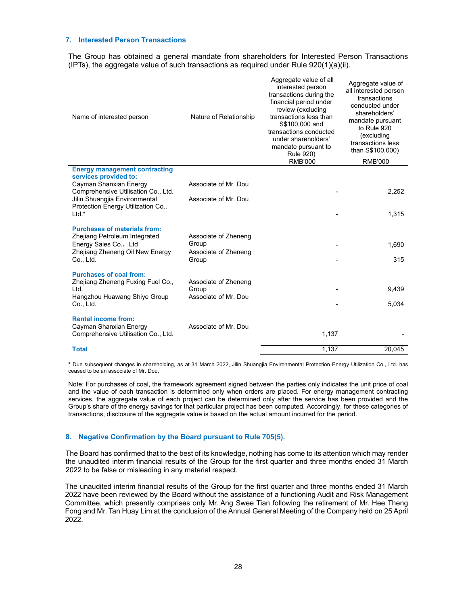### **7. Interested Person Transactions**

The Group has obtained a general mandate from shareholders for Interested Person Transactions (IPTs), the aggregate value of such transactions as required under Rule  $920(1)(a)(ii)$ .

| Name of interested person                                                                      | Nature of Relationship                       | Aggregate value of all<br>interested person<br>transactions during the<br>financial period under<br>review (excluding<br>transactions less than<br>S\$100,000 and<br>transactions conducted<br>under shareholders'<br>mandate pursuant to<br><b>Rule 920)</b><br><b>RMB'000</b> | Aggregate value of<br>all interested person<br>transactions<br>conducted under<br>shareholders'<br>mandate pursuant<br>to Rule 920<br>(excluding<br>transactions less<br>than S\$100,000)<br><b>RMB'000</b> |
|------------------------------------------------------------------------------------------------|----------------------------------------------|---------------------------------------------------------------------------------------------------------------------------------------------------------------------------------------------------------------------------------------------------------------------------------|-------------------------------------------------------------------------------------------------------------------------------------------------------------------------------------------------------------|
| <b>Energy management contracting</b><br>services provided to:                                  |                                              |                                                                                                                                                                                                                                                                                 |                                                                                                                                                                                                             |
| Cayman Shanxian Energy<br>Comprehensive Utilisation Co., Ltd.<br>Jilin Shuangjia Environmental | Associate of Mr. Dou<br>Associate of Mr. Dou |                                                                                                                                                                                                                                                                                 | 2,252                                                                                                                                                                                                       |
| Protection Energy Utilization Co.,<br>$Ltd.*$                                                  |                                              |                                                                                                                                                                                                                                                                                 | 1,315                                                                                                                                                                                                       |
| <b>Purchases of materials from:</b><br>Zhejiang Petroleum Integrated                           | Associate of Zheneng                         |                                                                                                                                                                                                                                                                                 |                                                                                                                                                                                                             |
| Energy Sales Co., Ltd<br>Zhejiang Zheneng Oil New Energy                                       | Group<br>Associate of Zheneng                |                                                                                                                                                                                                                                                                                 | 1,690                                                                                                                                                                                                       |
| Co., Ltd.                                                                                      | Group                                        |                                                                                                                                                                                                                                                                                 | 315                                                                                                                                                                                                         |
| <b>Purchases of coal from:</b><br>Zhejiang Zheneng Fuxing Fuel Co.,                            | Associate of Zheneng                         |                                                                                                                                                                                                                                                                                 |                                                                                                                                                                                                             |
| Ltd.<br>Hangzhou Huawang Shiye Group                                                           | Group<br>Associate of Mr. Dou                |                                                                                                                                                                                                                                                                                 | 9,439                                                                                                                                                                                                       |
| Co., Ltd.                                                                                      |                                              |                                                                                                                                                                                                                                                                                 | 5,034                                                                                                                                                                                                       |
| <b>Rental income from:</b><br>Cayman Shanxian Energy<br>Comprehensive Utilisation Co., Ltd.    | Associate of Mr. Dou                         | 1,137                                                                                                                                                                                                                                                                           |                                                                                                                                                                                                             |
|                                                                                                |                                              |                                                                                                                                                                                                                                                                                 |                                                                                                                                                                                                             |
| <b>Total</b>                                                                                   |                                              | 1,137                                                                                                                                                                                                                                                                           | 20,045                                                                                                                                                                                                      |

**\*** Due subsequent changes in shareholding, as at 31 March 2022, Jilin Shuangjia Environmental Protection Energy Utilization Co., Ltd. has ceased to be an associate of Mr. Dou.

Note: For purchases of coal, the framework agreement signed between the parties only indicates the unit price of coal and the value of each transaction is determined only when orders are placed. For energy management contracting services, the aggregate value of each project can be determined only after the service has been provided and the Group's share of the energy savings for that particular project has been computed. Accordingly, for these categories of transactions, disclosure of the aggregate value is based on the actual amount incurred for the period.

# **8. Negative Confirmation by the Board pursuant to Rule 705(5).**

The Board has confirmed that to the best of its knowledge, nothing has come to its attention which may render the unaudited interim financial results of the Group for the first quarter and three months ended 31 March 2022 to be false or misleading in any material respect.

The unaudited interim financial results of the Group for the first quarter and three months ended 31 March 2022 have been reviewed by the Board without the assistance of a functioning Audit and Risk Management Committee, which presently comprises only Mr. Ang Swee Tian following the retirement of Mr. Hee Theng Fong and Mr. Tan Huay Lim at the conclusion of the Annual General Meeting of the Company held on 25 April 2022.